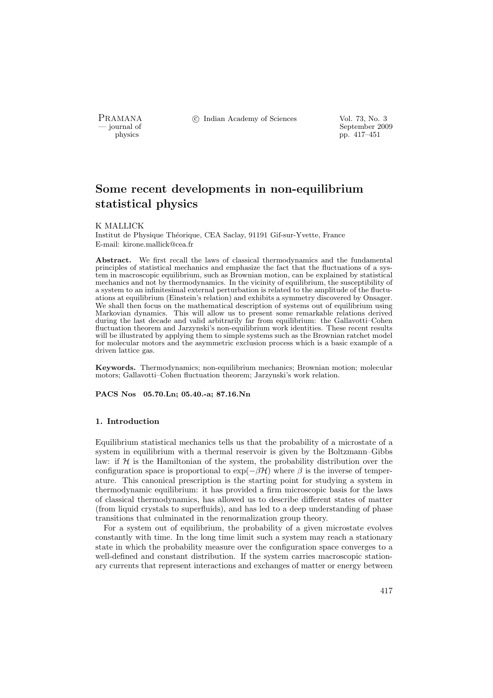PRAMANA <sup>C</sup> Indian Academy of Sciences Vol. 73, No. 3<br>
internal of September 200

position of the september 2009 of the September 2009 of the September 2009 of the September 2009 pp. 417–451

# Some recent developments in non-equilibrium statistical physics

## K MALLICK

Institut de Physique Théorique, CEA Saclay, 91191 Gif-sur-Yvette, France E-mail: kirone.mallick@cea.fr

Abstract. We first recall the laws of classical thermodynamics and the fundamental principles of statistical mechanics and emphasize the fact that the fluctuations of a system in macroscopic equilibrium, such as Brownian motion, can be explained by statistical mechanics and not by thermodynamics. In the vicinity of equilibrium, the susceptibility of a system to an infinitesimal external perturbation is related to the amplitude of the fluctuations at equilibrium (Einstein's relation) and exhibits a symmetry discovered by Onsager. We shall then focus on the mathematical description of systems out of equilibrium using Markovian dynamics. This will allow us to present some remarkable relations derived during the last decade and valid arbitrarily far from equilibrium: the Gallavotti-Cohen fluctuation theorem and Jarzynski's non-equilibrium work identities. These recent results will be illustrated by applying them to simple systems such as the Brownian ratchet model for molecular motors and the asymmetric exclusion process which is a basic example of a driven lattice gas.

Keywords. Thermodynamics; non-equilibrium mechanics; Brownian motion; molecular motors; Gallavotti–Cohen fluctuation theorem; Jarzynski's work relation.

PACS Nos 05.70.Ln; 05.40.-a; 87.16.Nn

## 1. Introduction

Equilibrium statistical mechanics tells us that the probability of a microstate of a system in equilibrium with a thermal reservoir is given by the Boltzmann–Gibbs law: if  $H$  is the Hamiltonian of the system, the probability distribution over the configuration space is proportional to  $\exp(-\beta \mathcal{H})$  where  $\beta$  is the inverse of temperature. This canonical prescription is the starting point for studying a system in thermodynamic equilibrium: it has provided a firm microscopic basis for the laws of classical thermodynamics, has allowed us to describe different states of matter (from liquid crystals to superfluids), and has led to a deep understanding of phase transitions that culminated in the renormalization group theory.

For a system out of equilibrium, the probability of a given microstate evolves constantly with time. In the long time limit such a system may reach a stationary state in which the probability measure over the configuration space converges to a well-defined and constant distribution. If the system carries macroscopic stationary currents that represent interactions and exchanges of matter or energy between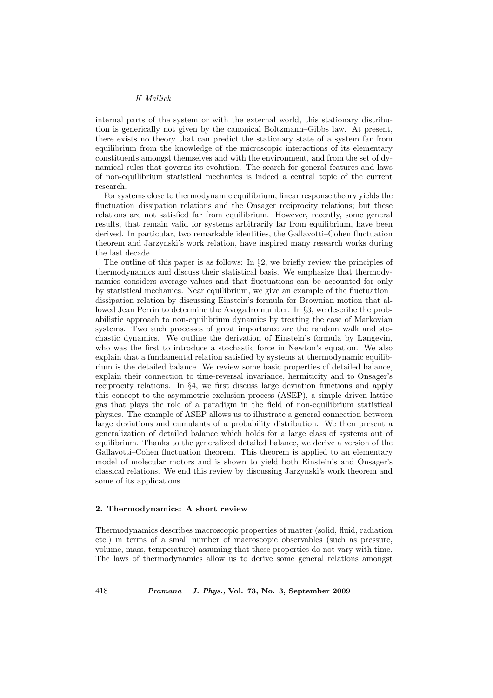internal parts of the system or with the external world, this stationary distribution is generically not given by the canonical Boltzmann–Gibbs law. At present, there exists no theory that can predict the stationary state of a system far from equilibrium from the knowledge of the microscopic interactions of its elementary constituents amongst themselves and with the environment, and from the set of dynamical rules that governs its evolution. The search for general features and laws of non-equilibrium statistical mechanics is indeed a central topic of the current research.

For systems close to thermodynamic equilibrium, linear response theory yields the fluctuation–dissipation relations and the Onsager reciprocity relations; but these relations are not satisfied far from equilibrium. However, recently, some general results, that remain valid for systems arbitrarily far from equilibrium, have been derived. In particular, two remarkable identities, the Gallavotti–Cohen fluctuation theorem and Jarzynski's work relation, have inspired many research works during the last decade.

The outline of this paper is as follows: In §2, we briefly review the principles of thermodynamics and discuss their statistical basis. We emphasize that thermodynamics considers average values and that fluctuations can be accounted for only by statistical mechanics. Near equilibrium, we give an example of the fluctuation– dissipation relation by discussing Einstein's formula for Brownian motion that allowed Jean Perrin to determine the Avogadro number. In §3, we describe the probabilistic approach to non-equilibrium dynamics by treating the case of Markovian systems. Two such processes of great importance are the random walk and stochastic dynamics. We outline the derivation of Einstein's formula by Langevin, who was the first to introduce a stochastic force in Newton's equation. We also explain that a fundamental relation satisfied by systems at thermodynamic equilibrium is the detailed balance. We review some basic properties of detailed balance, explain their connection to time-reversal invariance, hermiticity and to Onsager's reciprocity relations. In §4, we first discuss large deviation functions and apply this concept to the asymmetric exclusion process (ASEP), a simple driven lattice gas that plays the role of a paradigm in the field of non-equilibrium statistical physics. The example of ASEP allows us to illustrate a general connection between large deviations and cumulants of a probability distribution. We then present a generalization of detailed balance which holds for a large class of systems out of equilibrium. Thanks to the generalized detailed balance, we derive a version of the Gallavotti–Cohen fluctuation theorem. This theorem is applied to an elementary model of molecular motors and is shown to yield both Einstein's and Onsager's classical relations. We end this review by discussing Jarzynski's work theorem and some of its applications.

#### 2. Thermodynamics: A short review

Thermodynamics describes macroscopic properties of matter (solid, fluid, radiation etc.) in terms of a small number of macroscopic observables (such as pressure, volume, mass, temperature) assuming that these properties do not vary with time. The laws of thermodynamics allow us to derive some general relations amongst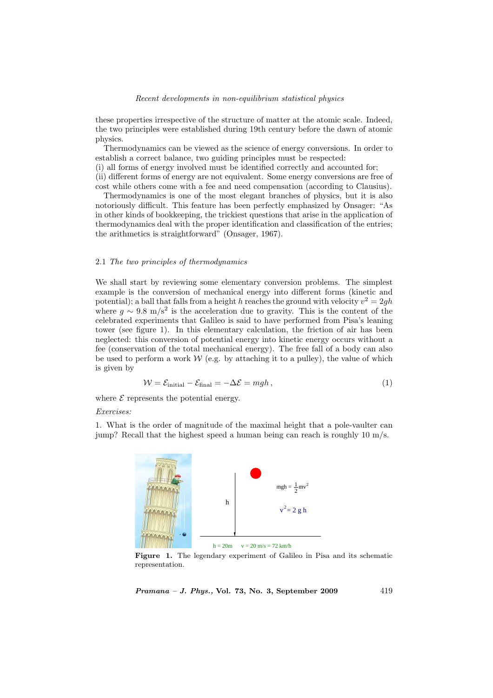these properties irrespective of the structure of matter at the atomic scale. Indeed, the two principles were established during 19th century before the dawn of atomic physics.

Thermodynamics can be viewed as the science of energy conversions. In order to establish a correct balance, two guiding principles must be respected:

(i) all forms of energy involved must be identified correctly and accounted for; (ii) different forms of energy are not equivalent. Some energy conversions are free of

cost while others come with a fee and need compensation (according to Clausius). Thermodynamics is one of the most elegant branches of physics, but it is also notoriously difficult. This feature has been perfectly emphasized by Onsager: "As in other kinds of bookkeeping, the trickiest questions that arise in the application of thermodynamics deal with the proper identification and classification of the entries; the arithmetics is straightforward" (Onsager, 1967).

# 2.1 The two principles of thermodynamics

We shall start by reviewing some elementary conversion problems. The simplest example is the conversion of mechanical energy into different forms (kinetic and potential); a ball that falls from a height h reaches the ground with velocity  $v^2 = 2gh$ where  $g \sim 9.8 \text{ m/s}^2$  is the acceleration due to gravity. This is the content of the celebrated experiments that Galileo is said to have performed from Pisa's leaning tower (see figure 1). In this elementary calculation, the friction of air has been neglected: this conversion of potential energy into kinetic energy occurs without a fee (conservation of the total mechanical energy). The free fall of a body can also be used to perform a work  $W$  (e.g. by attaching it to a pulley), the value of which is given by

$$
\mathcal{W} = \mathcal{E}_{\text{initial}} - \mathcal{E}_{\text{final}} = -\Delta \mathcal{E} = mgh \,, \tag{1}
$$

where  $\mathcal E$  represents the potential energy.

# Exercises:

1. What is the order of magnitude of the maximal height that a pole-vaulter can jump? Recall that the highest speed a human being can reach is roughly 10 m/s.



Figure 1. The legendary experiment of Galileo in Pisa and its schematic representation.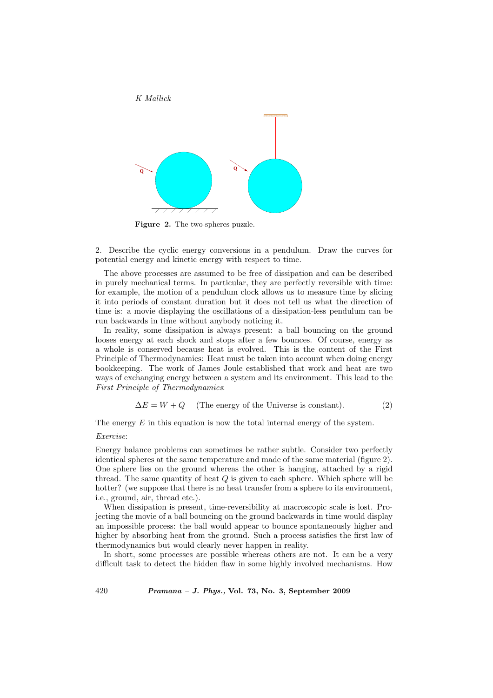

Figure 2. The two-spheres puzzle.

2. Describe the cyclic energy conversions in a pendulum. Draw the curves for potential energy and kinetic energy with respect to time.

The above processes are assumed to be free of dissipation and can be described in purely mechanical terms. In particular, they are perfectly reversible with time: for example, the motion of a pendulum clock allows us to measure time by slicing it into periods of constant duration but it does not tell us what the direction of time is: a movie displaying the oscillations of a dissipation-less pendulum can be run backwards in time without anybody noticing it.

In reality, some dissipation is always present: a ball bouncing on the ground looses energy at each shock and stops after a few bounces. Of course, energy as a whole is conserved because heat is evolved. This is the content of the First Principle of Thermodynamics: Heat must be taken into account when doing energy bookkeeping. The work of James Joule established that work and heat are two ways of exchanging energy between a system and its environment. This lead to the First Principle of Thermodynamics:

$$
\Delta E = W + Q
$$
 (The energy of the Universe is constant). (2)

The energy  $E$  in this equation is now the total internal energy of the system.

#### Exercise:

Energy balance problems can sometimes be rather subtle. Consider two perfectly identical spheres at the same temperature and made of the same material (figure 2). One sphere lies on the ground whereas the other is hanging, attached by a rigid thread. The same quantity of heat  $Q$  is given to each sphere. Which sphere will be hotter? (we suppose that there is no heat transfer from a sphere to its environment, i.e., ground, air, thread etc.).

When dissipation is present, time-reversibility at macroscopic scale is lost. Projecting the movie of a ball bouncing on the ground backwards in time would display an impossible process: the ball would appear to bounce spontaneously higher and higher by absorbing heat from the ground. Such a process satisfies the first law of thermodynamics but would clearly never happen in reality.

In short, some processes are possible whereas others are not. It can be a very difficult task to detect the hidden flaw in some highly involved mechanisms. How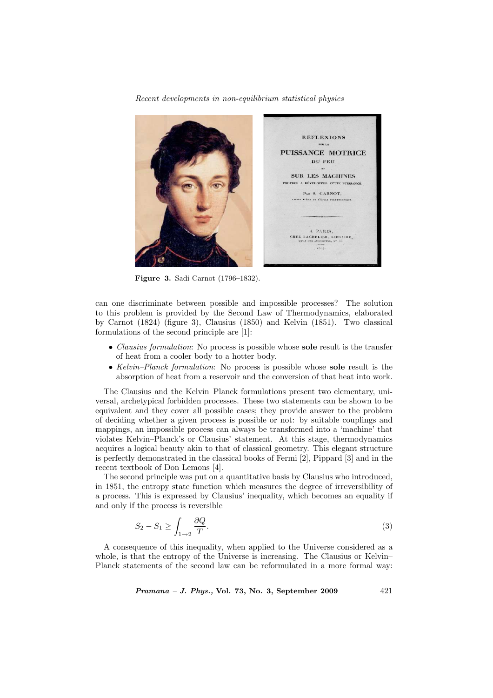Recent developments in non-equilibrium statistical physics



Figure 3. Sadi Carnot (1796–1832).

can one discriminate between possible and impossible processes? The solution to this problem is provided by the Second Law of Thermodynamics, elaborated by Carnot (1824) (figure 3), Clausius (1850) and Kelvin (1851). Two classical formulations of the second principle are [1]:

- Clausius formulation: No process is possible whose **sole** result is the transfer of heat from a cooler body to a hotter body.
- Kelvin–Planck formulation: No process is possible whose sole result is the absorption of heat from a reservoir and the conversion of that heat into work.

The Clausius and the Kelvin–Planck formulations present two elementary, universal, archetypical forbidden processes. These two statements can be shown to be equivalent and they cover all possible cases; they provide answer to the problem of deciding whether a given process is possible or not: by suitable couplings and mappings, an impossible process can always be transformed into a 'machine' that violates Kelvin–Planck's or Clausius' statement. At this stage, thermodynamics acquires a logical beauty akin to that of classical geometry. This elegant structure is perfectly demonstrated in the classical books of Fermi [2], Pippard [3] and in the recent textbook of Don Lemons [4].

The second principle was put on a quantitative basis by Clausius who introduced, in 1851, the entropy state function which measures the degree of irreversibility of a process. This is expressed by Clausius' inequality, which becomes an equality if and only if the process is reversible

$$
S_2 - S_1 \ge \int_{1 \to 2} \frac{\partial Q}{T}.\tag{3}
$$

A consequence of this inequality, when applied to the Universe considered as a whole, is that the entropy of the Universe is increasing. The Clausius or Kelvin– Planck statements of the second law can be reformulated in a more formal way: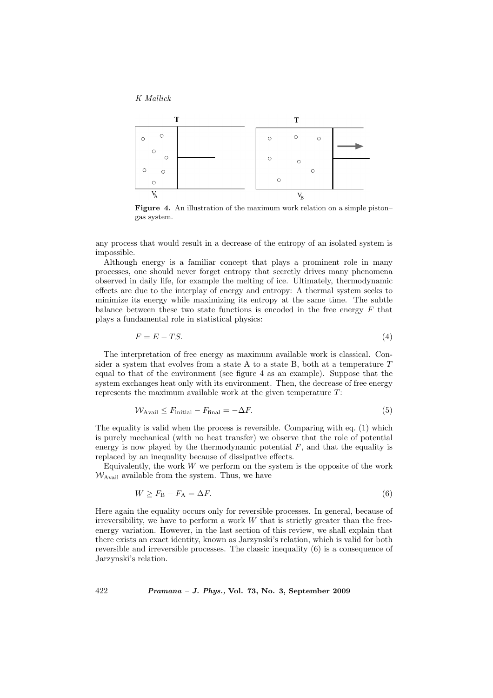

Figure 4. An illustration of the maximum work relation on a simple piston– gas system.

any process that would result in a decrease of the entropy of an isolated system is impossible.

Although energy is a familiar concept that plays a prominent role in many processes, one should never forget entropy that secretly drives many phenomena observed in daily life, for example the melting of ice. Ultimately, thermodynamic effects are due to the interplay of energy and entropy: A thermal system seeks to minimize its energy while maximizing its entropy at the same time. The subtle balance between these two state functions is encoded in the free energy  $F$  that plays a fundamental role in statistical physics:

$$
F = E - TS.\tag{4}
$$

The interpretation of free energy as maximum available work is classical. Consider a system that evolves from a state A to a state B, both at a temperature  $T$ equal to that of the environment (see figure 4 as an example). Suppose that the system exchanges heat only with its environment. Then, the decrease of free energy represents the maximum available work at the given temperature T:

$$
\mathcal{W}_{\text{Avail}} \le F_{\text{initial}} - F_{\text{final}} = -\Delta F. \tag{5}
$$

The equality is valid when the process is reversible. Comparing with eq. (1) which is purely mechanical (with no heat transfer) we observe that the role of potential energy is now played by the thermodynamic potential  $F$ , and that the equality is replaced by an inequality because of dissipative effects.

Equivalently, the work  $W$  we perform on the system is the opposite of the work  $\mathcal{W}_{\text{Avail}}$  available from the system. Thus, we have

$$
W \ge F_{\rm B} - F_{\rm A} = \Delta F. \tag{6}
$$

Here again the equality occurs only for reversible processes. In general, because of irreversibility, we have to perform a work  $W$  that is strictly greater than the freeenergy variation. However, in the last section of this review, we shall explain that there exists an exact identity, known as Jarzynski's relation, which is valid for both reversible and irreversible processes. The classic inequality (6) is a consequence of Jarzynski's relation.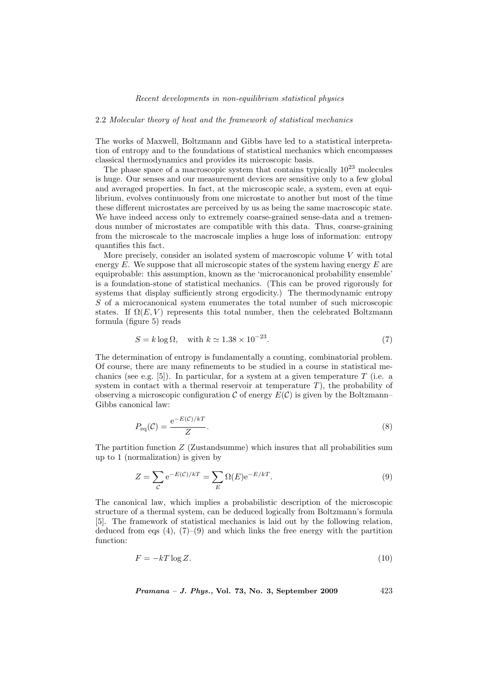## 2.2 Molecular theory of heat and the framework of statistical mechanics

The works of Maxwell, Boltzmann and Gibbs have led to a statistical interpretation of entropy and to the foundations of statistical mechanics which encompasses classical thermodynamics and provides its microscopic basis.

The phase space of a macroscopic system that contains typically  $10^{23}$  molecules is huge. Our senses and our measurement devices are sensitive only to a few global and averaged properties. In fact, at the microscopic scale, a system, even at equilibrium, evolves continuously from one microstate to another but most of the time these different microstates are perceived by us as being the same macroscopic state. We have indeed access only to extremely coarse-grained sense-data and a tremendous number of microstates are compatible with this data. Thus, coarse-graining from the microscale to the macroscale implies a huge loss of information: entropy quantifies this fact.

More precisely, consider an isolated system of macroscopic volume  $V$  with total energy  $E$ . We suppose that all microscopic states of the system having energy  $E$  are equiprobable: this assumption, known as the 'microcanonical probability ensemble' is a foundation-stone of statistical mechanics. (This can be proved rigorously for systems that display sufficiently strong ergodicity.) The thermodynamic entropy S of a microcanonical system enumerates the total number of such microscopic states. If  $\Omega(E, V)$  represents this total number, then the celebrated Boltzmann formula (figure 5) reads

$$
S = k \log \Omega, \quad \text{with } k \simeq 1.38 \times 10^{-23}.
$$
 (7)

The determination of entropy is fundamentally a counting, combinatorial problem. Of course, there are many refinements to be studied in a course in statistical mechanics (see e.g. [5]). In particular, for a system at a given temperature  $T$  (i.e. a system in contact with a thermal reservoir at temperature  $T$ ), the probability of observing a microscopic configuration C of energy  $E(C)$  is given by the Boltzmann– Gibbs canonical law:

$$
P_{\text{eq}}(\mathcal{C}) = \frac{e^{-E(\mathcal{C})/kT}}{Z}.
$$
\n(8)

The partition function Z (Zustandsumme) which insures that all probabilities sum up to 1 (normalization) is given by

$$
Z = \sum_{\mathcal{C}} e^{-E(\mathcal{C})/k} = \sum_{E} \Omega(E) e^{-E/k}.
$$
\n(9)

The canonical law, which implies a probabilistic description of the microscopic structure of a thermal system, can be deduced logically from Boltzmann's formula [5]. The framework of statistical mechanics is laid out by the following relation, deduced from eqs  $(4)$ ,  $(7)-(9)$  and which links the free energy with the partition function:

$$
F = -kT \log Z. \tag{10}
$$

$$
Pramana - J. Phys., Vol. 73, No. 3, September 2009 \t\t\t\t\t\t 423
$$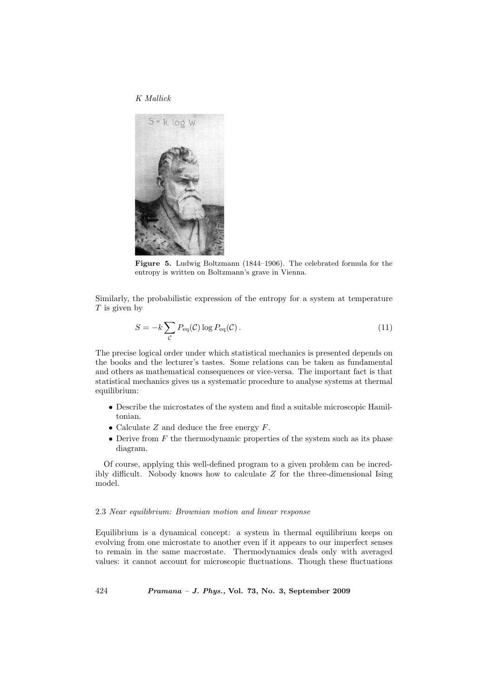

Figure 5. Ludwig Boltzmann (1844–1906). The celebrated formula for the entropy is written on Boltzmann's grave in Vienna.

Similarly, the probabilistic expression of the entropy for a system at temperature  $T$  is given by

$$
S = -k \sum_{\mathcal{C}} P_{\text{eq}}(\mathcal{C}) \log P_{\text{eq}}(\mathcal{C}). \tag{11}
$$

The precise logical order under which statistical mechanics is presented depends on the books and the lecturer's tastes. Some relations can be taken as fundamental and others as mathematical consequences or vice-versa. The important fact is that statistical mechanics gives us a systematic procedure to analyse systems at thermal equilibrium:

- Describe the microstates of the system and find a suitable microscopic Hamiltonian.
- Calculate  $Z$  and deduce the free energy  $F$ .
- Derive from  $F$  the thermodynamic properties of the system such as its phase diagram.

Of course, applying this well-defined program to a given problem can be incredibly difficult. Nobody knows how to calculate  $Z$  for the three-dimensional Ising model.

# 2.3 Near equilibrium: Brownian motion and linear response

Equilibrium is a dynamical concept: a system in thermal equilibrium keeps on evolving from one microstate to another even if it appears to our imperfect senses to remain in the same macrostate. Thermodynamics deals only with averaged values: it cannot account for microscopic fluctuations. Though these fluctuations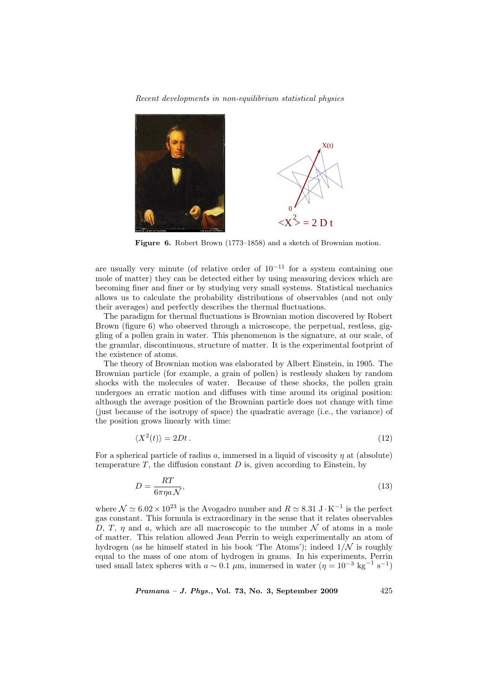

Figure 6. Robert Brown (1773–1858) and a sketch of Brownian motion.

are usually very minute (of relative order of  $10^{-11}$  for a system containing one mole of matter) they can be detected either by using measuring devices which are becoming finer and finer or by studying very small systems. Statistical mechanics allows us to calculate the probability distributions of observables (and not only their averages) and perfectly describes the thermal fluctuations.

The paradigm for thermal fluctuations is Brownian motion discovered by Robert Brown (figure 6) who observed through a microscope, the perpetual, restless, giggling of a pollen grain in water. This phenomenon is the signature, at our scale, of the granular, discontinuous, structure of matter. It is the experimental footprint of the existence of atoms.

The theory of Brownian motion was elaborated by Albert Einstein, in 1905. The Brownian particle (for example, a grain of pollen) is restlessly shaken by random shocks with the molecules of water. Because of these shocks, the pollen grain undergoes an erratic motion and diffuses with time around its original position: although the average position of the Brownian particle does not change with time (just because of the isotropy of space) the quadratic average (i.e., the variance) of the position grows linearly with time:

$$
\langle X^2(t) \rangle = 2Dt. \tag{12}
$$

For a spherical particle of radius a, immersed in a liquid of viscosity  $\eta$  at (absolute) temperature  $T$ , the diffusion constant  $D$  is, given according to Einstein, by

$$
D = \frac{RT}{6\pi\eta a N},\tag{13}
$$

where  $\mathcal{N} \simeq 6.02 \times 10^{23}$  is the Avogadro number and  $R \simeq 8.31 \text{ J} \cdot \text{K}^{-1}$  is the perfect gas constant. This formula is extraordinary in the sense that it relates observables D, T,  $\eta$  and a, which are all macroscopic to the number N of atoms in a mole of matter. This relation allowed Jean Perrin to weigh experimentally an atom of hydrogen (as he himself stated in his book 'The Atoms'); indeed  $1/N$  is roughly equal to the mass of one atom of hydrogen in grams. In his experiments, Perrin used small latex spheres with  $a \sim 0.1 \mu m$ , immersed in water  $(\eta = 10^{-3} \text{ kg}^{-1} \text{ s}^{-1})$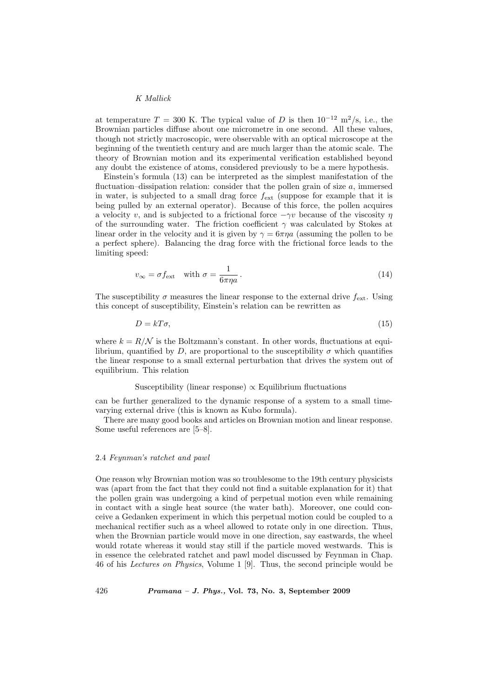at temperature  $T = 300$  K. The typical value of D is then  $10^{-12}$  m<sup>2</sup>/s, i.e., the Brownian particles diffuse about one micrometre in one second. All these values, though not strictly macroscopic, were observable with an optical microscope at the beginning of the twentieth century and are much larger than the atomic scale. The theory of Brownian motion and its experimental verification established beyond any doubt the existence of atoms, considered previously to be a mere hypothesis.

Einstein's formula (13) can be interpreted as the simplest manifestation of the fluctuation–dissipation relation: consider that the pollen grain of size  $a$ , immersed in water, is subjected to a small drag force  $f_{\text{ext}}$  (suppose for example that it is being pulled by an external operator). Because of this force, the pollen acquires a velocity v, and is subjected to a frictional force  $-\gamma v$  because of the viscosity  $\eta$ of the surrounding water. The friction coefficient  $\gamma$  was calculated by Stokes at linear order in the velocity and it is given by  $\gamma = 6\pi\eta a$  (assuming the pollen to be a perfect sphere). Balancing the drag force with the frictional force leads to the limiting speed:

$$
v_{\infty} = \sigma f_{\text{ext}} \quad \text{with } \sigma = \frac{1}{6\pi\eta a} \,. \tag{14}
$$

The susceptibility  $\sigma$  measures the linear response to the external drive  $f_{\text{ext}}$ . Using this concept of susceptibility, Einstein's relation can be rewritten as

$$
D = kT\sigma,\tag{15}
$$

where  $k = R/N$  is the Boltzmann's constant. In other words, fluctuations at equilibrium, quantified by D, are proportional to the susceptibility  $\sigma$  which quantifies the linear response to a small external perturbation that drives the system out of equilibrium. This relation

# Susceptibility (linear response)  $\propto$  Equilibrium fluctuations

can be further generalized to the dynamic response of a system to a small timevarying external drive (this is known as Kubo formula).

There are many good books and articles on Brownian motion and linear response. Some useful references are [5–8].

### 2.4 Feynman's ratchet and pawl

One reason why Brownian motion was so troublesome to the 19th century physicists was (apart from the fact that they could not find a suitable explanation for it) that the pollen grain was undergoing a kind of perpetual motion even while remaining in contact with a single heat source (the water bath). Moreover, one could conceive a Gedanken experiment in which this perpetual motion could be coupled to a mechanical rectifier such as a wheel allowed to rotate only in one direction. Thus, when the Brownian particle would move in one direction, say eastwards, the wheel would rotate whereas it would stay still if the particle moved westwards. This is in essence the celebrated ratchet and pawl model discussed by Feynman in Chap. 46 of his Lectures on Physics, Volume 1 [9]. Thus, the second principle would be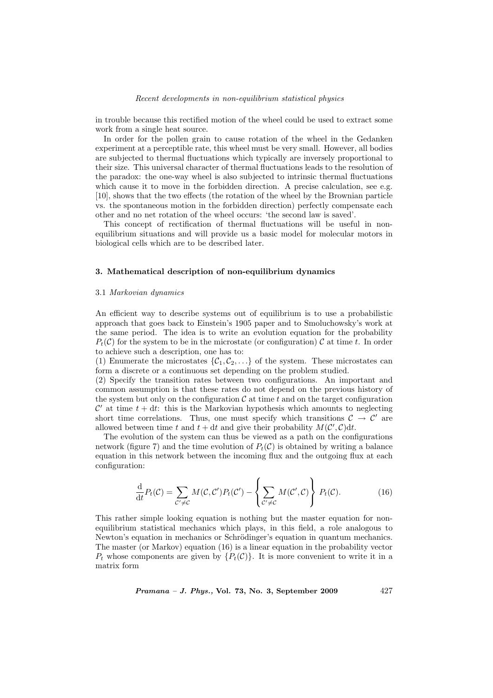in trouble because this rectified motion of the wheel could be used to extract some work from a single heat source.

In order for the pollen grain to cause rotation of the wheel in the Gedanken experiment at a perceptible rate, this wheel must be very small. However, all bodies are subjected to thermal fluctuations which typically are inversely proportional to their size. This universal character of thermal fluctuations leads to the resolution of the paradox: the one-way wheel is also subjected to intrinsic thermal fluctuations which cause it to move in the forbidden direction. A precise calculation, see e.g. [10], shows that the two effects (the rotation of the wheel by the Brownian particle vs. the spontaneous motion in the forbidden direction) perfectly compensate each other and no net rotation of the wheel occurs: 'the second law is saved'.

This concept of rectification of thermal fluctuations will be useful in nonequilibrium situations and will provide us a basic model for molecular motors in biological cells which are to be described later.

## 3. Mathematical description of non-equilibrium dynamics

#### 3.1 Markovian dynamics

An efficient way to describe systems out of equilibrium is to use a probabilistic approach that goes back to Einstein's 1905 paper and to Smoluchowsky's work at the same period. The idea is to write an evolution equation for the probability  $P_t(\mathcal{C})$  for the system to be in the microstate (or configuration)  $\mathcal{C}$  at time t. In order to achieve such a description, one has to:

(1) Enumerate the microstates  $\{\mathcal{C}_1, \mathcal{C}_2, \ldots\}$  of the system. These microstates can form a discrete or a continuous set depending on the problem studied.

(2) Specify the transition rates between two configurations. An important and common assumption is that these rates do not depend on the previous history of the system but only on the configuration  $\mathcal C$  at time t and on the target configuration  $\mathcal{C}'$  at time  $t + dt$ : this is the Markovian hypothesis which amounts to neglecting short time correlations. Thus, one must specify which transitions  $C \rightarrow C'$  are allowed between time t and  $t + dt$  and give their probability  $M(C', C)dt$ .

The evolution of the system can thus be viewed as a path on the configurations network (figure 7) and the time evolution of  $P_t(\mathcal{C})$  is obtained by writing a balance equation in this network between the incoming flux and the outgoing flux at each configuration:

$$
\frac{\mathrm{d}}{\mathrm{d}t}P_t(\mathcal{C}) = \sum_{\mathcal{C}' \neq \mathcal{C}} M(\mathcal{C}, \mathcal{C}') P_t(\mathcal{C}') - \left\{ \sum_{\mathcal{C}' \neq \mathcal{C}} M(\mathcal{C}', \mathcal{C}) \right\} P_t(\mathcal{C}). \tag{16}
$$

This rather simple looking equation is nothing but the master equation for nonequilibrium statistical mechanics which plays, in this field, a role analogous to Newton's equation in mechanics or Schrödinger's equation in quantum mechanics. The master (or Markov) equation (16) is a linear equation in the probability vector  $P_t$  whose components are given by  $\{P_t(\mathcal{C})\}$ . It is more convenient to write it in a matrix form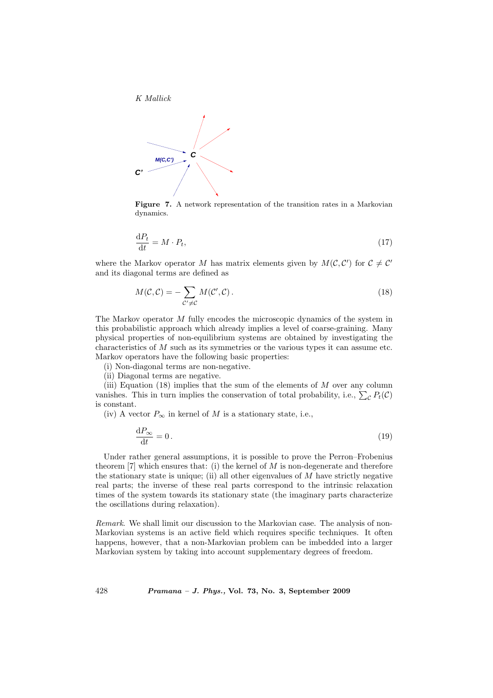

Figure 7. A network representation of the transition rates in a Markovian dynamics.

$$
\frac{\mathrm{d}P_t}{\mathrm{d}t} = M \cdot P_t,\tag{17}
$$

where the Markov operator M has matrix elements given by  $M(C, C')$  for  $C \neq C'$ and its diagonal terms are defined as

$$
M(\mathcal{C}, \mathcal{C}) = -\sum_{\mathcal{C}' \neq \mathcal{C}} M(\mathcal{C}', \mathcal{C}).
$$
\n(18)

The Markov operator M fully encodes the microscopic dynamics of the system in this probabilistic approach which already implies a level of coarse-graining. Many physical properties of non-equilibrium systems are obtained by investigating the characteristics of  $M$  such as its symmetries or the various types it can assume etc. Markov operators have the following basic properties:

(i) Non-diagonal terms are non-negative.

(ii) Diagonal terms are negative.

(iii) Equation  $(18)$  implies that the sum of the elements of M over any column (iii) Equation (18) implies that the sum of the elements of M over any column<br>vanishes. This in turn implies the conservation of total probability, i.e.,  $\sum_{\mathcal{C}} P_t(\mathcal{C})$ is constant.

(iv) A vector  $P_{\infty}$  in kernel of M is a stationary state, i.e.,

$$
\frac{\mathrm{d}P_{\infty}}{\mathrm{d}t} = 0\,. \tag{19}
$$

Under rather general assumptions, it is possible to prove the Perron–Frobenius theorem  $[7]$  which ensures that: (i) the kernel of  $M$  is non-degenerate and therefore the stationary state is unique; (ii) all other eigenvalues of  $M$  have strictly negative real parts; the inverse of these real parts correspond to the intrinsic relaxation times of the system towards its stationary state (the imaginary parts characterize the oscillations during relaxation).

Remark. We shall limit our discussion to the Markovian case. The analysis of non-Markovian systems is an active field which requires specific techniques. It often happens, however, that a non-Markovian problem can be imbedded into a larger Markovian system by taking into account supplementary degrees of freedom.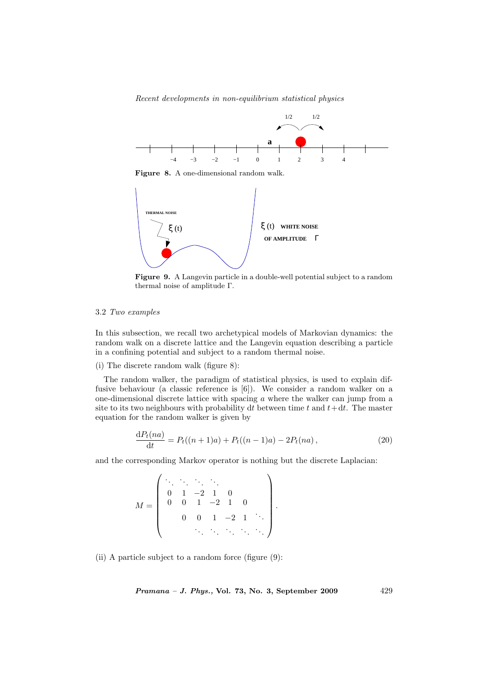Recent developments in non-equilibrium statistical physics



Figure 8. A one-dimensional random walk.



Figure 9. A Langevin particle in a double-well potential subject to a random thermal noise of amplitude Γ.

# 3.2 Two examples

In this subsection, we recall two archetypical models of Markovian dynamics: the random walk on a discrete lattice and the Langevin equation describing a particle in a confining potential and subject to a random thermal noise.

(i) The discrete random walk (figure 8):

The random walker, the paradigm of statistical physics, is used to explain diffusive behaviour (a classic reference is [6]). We consider a random walker on a one-dimensional discrete lattice with spacing a where the walker can jump from a site to its two neighbours with probability dt between time t and  $t+dt$ . The master equation for the random walker is given by

$$
\frac{dP_t(na)}{dt} = P_t((n+1)a) + P_t((n-1)a) - 2P_t(na),
$$
\n(20)

and the corresponding Markov operator is nothing but the discrete Laplacian:

$$
M = \left( \begin{array}{cccccc} \ddots & \ddots & \ddots & \ddots & \ddots \\ 0 & 1 & -2 & 1 & 0 & & \\ 0 & 0 & 1 & -2 & 1 & 0 & \\ & & 0 & 0 & 1 & -2 & 1 & \ddots \\ & & & & \ddots & \ddots & \ddots & \ddots \end{array} \right).
$$

(ii) A particle subject to a random force (figure (9):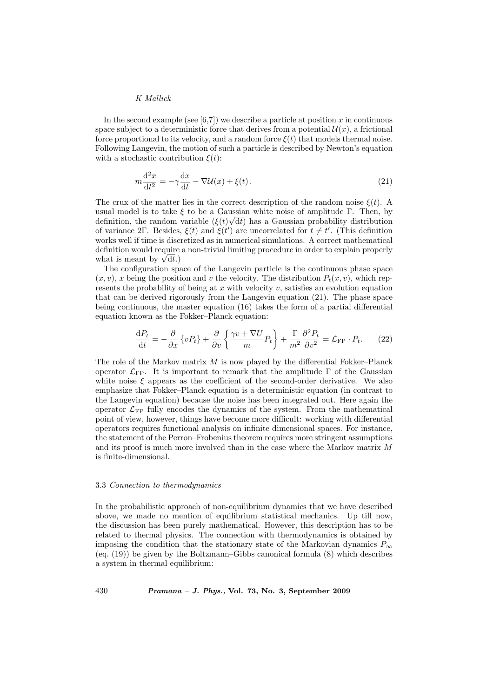In the second example (see  $[6,7]$ ) we describe a particle at position x in continuous space subject to a deterministic force that derives from a potential  $\mathcal{U}(x)$ , a frictional force proportional to its velocity, and a random force  $\xi(t)$  that models thermal noise. Following Langevin, the motion of such a particle is described by Newton's equation with a stochastic contribution  $\xi(t)$ :

$$
m\frac{\mathrm{d}^2x}{\mathrm{d}t^2} = -\gamma\frac{\mathrm{d}x}{\mathrm{d}t} - \nabla\mathcal{U}(x) + \xi(t) \,. \tag{21}
$$

The crux of the matter lies in the correct description of the random noise  $\xi(t)$ . A usual model is to take  $\xi$  to be a Gaussian white noise of amplitude  $\Gamma$ . Then, by definition, the random variable  $(\xi(t)\sqrt{dt})$  has a Gaussian probability distribution of variance 2Γ. Besides,  $\xi(t)$  and  $\xi(t')$  are uncorrelated for  $t \neq t'$ . (This definition works well if time is discretized as in numerical simulations. A correct mathematical definition would require a non-trivial limiting procedure in order to explain properly definition would require<br>what is meant by  $\sqrt{\mathrm{d}t}$ .)

The configuration space of the Langevin particle is the continuous phase space  $(x, v)$ , x being the position and v the velocity. The distribution  $P_t(x, v)$ , which represents the probability of being at  $x$  with velocity  $v$ , satisfies an evolution equation that can be derived rigorously from the Langevin equation (21). The phase space being continuous, the master equation (16) takes the form of a partial differential equation known as the Fokker–Planck equation:

$$
\frac{\mathrm{d}P_t}{\mathrm{d}t} = -\frac{\partial}{\partial x}\left\{v_1\right\} + \frac{\partial}{\partial v}\left\{\frac{\gamma v + \nabla U}{m}P_t\right\} + \frac{\Gamma}{m^2}\frac{\partial^2 P_t}{\partial v^2} = \mathcal{L}_{\text{FP}} \cdot P_t. \tag{22}
$$

The role of the Markov matrix  $M$  is now played by the differential Fokker–Planck operator  $\mathcal{L}_{\text{FP}}$ . It is important to remark that the amplitude  $\Gamma$  of the Gaussian white noise  $\xi$  appears as the coefficient of the second-order derivative. We also emphasize that Fokker–Planck equation is a deterministic equation (in contrast to the Langevin equation) because the noise has been integrated out. Here again the operator  $\mathcal{L}_{\text{FP}}$  fully encodes the dynamics of the system. From the mathematical point of view, however, things have become more difficult: working with differential operators requires functional analysis on infinite dimensional spaces. For instance, the statement of the Perron–Frobenius theorem requires more stringent assumptions and its proof is much more involved than in the case where the Markov matrix M is finite-dimensional.

## 3.3 Connection to thermodynamics

In the probabilistic approach of non-equilibrium dynamics that we have described above, we made no mention of equilibrium statistical mechanics. Up till now, the discussion has been purely mathematical. However, this description has to be related to thermal physics. The connection with thermodynamics is obtained by imposing the condition that the stationary state of the Markovian dynamics  $P_{\infty}$ (eq. (19)) be given by the Boltzmann–Gibbs canonical formula (8) which describes a system in thermal equilibrium: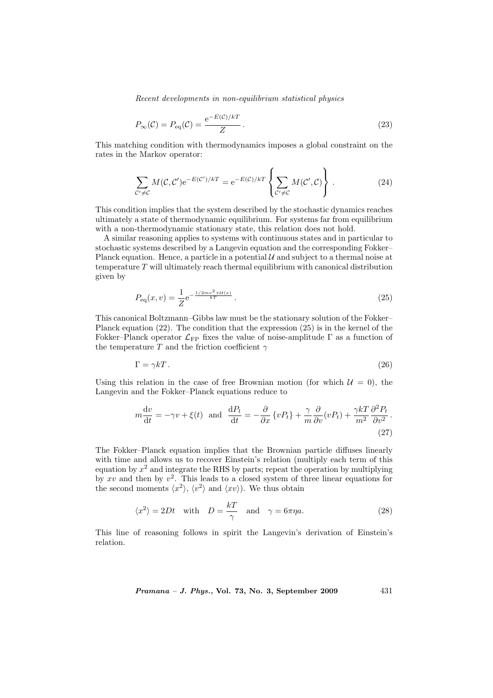$$
P_{\infty}(\mathcal{C}) = P_{\text{eq}}(\mathcal{C}) = \frac{e^{-E(\mathcal{C})/kT}}{Z}.
$$
\n(23)

This matching condition with thermodynamics imposes a global constraint on the rates in the Markov operator:

$$
\sum_{\mathcal{C}' \neq \mathcal{C}} M(\mathcal{C}, \mathcal{C}') e^{-E(\mathcal{C}')/k} = e^{-E(\mathcal{C})/k} \left\{ \sum_{\mathcal{C}' \neq \mathcal{C}} M(\mathcal{C}', \mathcal{C}) \right\}.
$$
 (24)

 $\ddot{\phantom{a}}$ 

This condition implies that the system described by the stochastic dynamics reaches ultimately a state of thermodynamic equilibrium. For systems far from equilibrium with a non-thermodynamic stationary state, this relation does not hold.

A similar reasoning applies to systems with continuous states and in particular to stochastic systems described by a Langevin equation and the corresponding Fokker– Planck equation. Hence, a particle in a potential  $\mathcal U$  and subject to a thermal noise at temperature T will ultimately reach thermal equilibrium with canonical distribution given by

$$
P_{\text{eq}}(x,v) = \frac{1}{Z} e^{-\frac{1/2mv^2 + \mathcal{U}(x)}{kT}}.
$$
\n(25)

This canonical Boltzmann–Gibbs law must be the stationary solution of the Fokker– Planck equation (22). The condition that the expression (25) is in the kernel of the Fokker–Planck operator  $\mathcal{L}_{FP}$  fixes the value of noise-amplitude  $\Gamma$  as a function of the temperature T and the friction coefficient  $\gamma$ 

$$
\Gamma = \gamma kT. \tag{26}
$$

Using this relation in the case of free Brownian motion (for which  $U = 0$ ), the Langevin and the Fokker–Planck equations reduce to

$$
m\frac{\mathrm{d}v}{\mathrm{d}t} = -\gamma v + \xi(t) \text{ and } \frac{\mathrm{d}P_t}{\mathrm{d}t} = -\frac{\partial}{\partial x}\left\{v_1\right\} + \frac{\gamma}{m}\frac{\partial}{\partial v}(v_1\right) + \frac{\gamma kT}{m^2}\frac{\partial^2 P_t}{\partial v^2}.
$$
\n(27)

The Fokker–Planck equation implies that the Brownian particle diffuses linearly with time and allows us to recover Einstein's relation (multiply each term of this equation by  $x^2$  and integrate the RHS by parts; repeat the operation by multiplying by xv and then by  $v^2$ . This leads to a closed system of three linear equations for the second moments  $\langle x^2 \rangle$ ,  $\langle v^2 \rangle$  and  $\langle xv \rangle$ ). We thus obtain

$$
\langle x^2 \rangle = 2Dt \quad \text{with} \quad D = \frac{kT}{\gamma} \quad \text{and} \quad \gamma = 6\pi\eta a. \tag{28}
$$

This line of reasoning follows in spirit the Langevin's derivation of Einstein's relation.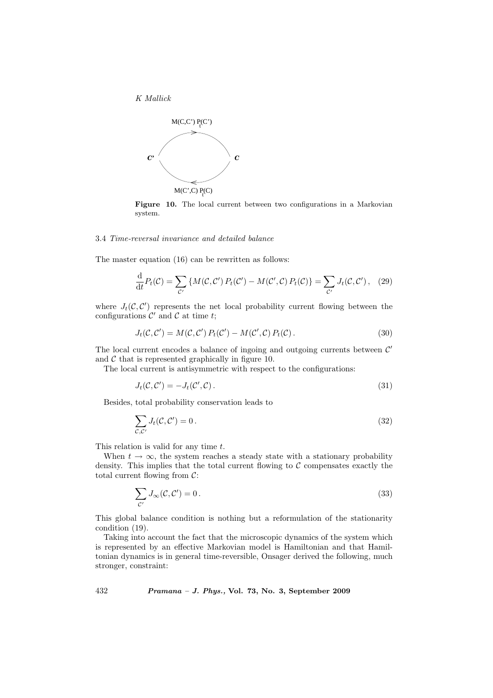



Figure 10. The local current between two configurations in a Markovian system.

#### 3.4 Time-reversal invariance and detailed balance

The master equation (16) can be rewritten as follows:

$$
\frac{\mathrm{d}}{\mathrm{d}t}P_t(\mathcal{C}) = \sum_{\mathcal{C}'} \left\{ M(\mathcal{C}, \mathcal{C}') P_t(\mathcal{C}') - M(\mathcal{C}', \mathcal{C}) P_t(\mathcal{C}) \right\} = \sum_{\mathcal{C}'} J_t(\mathcal{C}, \mathcal{C}'), \quad (29)
$$

where  $J_t(\mathcal{C}, \mathcal{C}')$  represents the net local probability current flowing between the configurations  $\mathcal{C}'$  and  $\mathcal{C}$  at time t;

$$
J_t(\mathcal{C}, \mathcal{C}') = M(\mathcal{C}, \mathcal{C}') P_t(\mathcal{C}') - M(\mathcal{C}', \mathcal{C}) P_t(\mathcal{C}). \qquad (30)
$$

The local current encodes a balance of ingoing and outgoing currents between  $\mathcal{C}'$ and  $\mathcal C$  that is represented graphically in figure 10.

The local current is antisymmetric with respect to the configurations:

$$
J_t(\mathcal{C}, \mathcal{C}') = -J_t(\mathcal{C}', \mathcal{C})\,. \tag{31}
$$

Besides, total probability conservation leads to

$$
\sum_{\mathcal{C},\mathcal{C}'} J_t(\mathcal{C},\mathcal{C}') = 0.
$$
\n(32)

This relation is valid for any time t.

When  $t \to \infty$ , the system reaches a steady state with a stationary probability density. This implies that the total current flowing to  $C$  compensates exactly the total current flowing from  $C$ :

$$
\sum_{\mathcal{C}'} J_{\infty}(\mathcal{C}, \mathcal{C}') = 0.
$$
\n(33)

This global balance condition is nothing but a reformulation of the stationarity condition (19).

Taking into account the fact that the microscopic dynamics of the system which is represented by an effective Markovian model is Hamiltonian and that Hamiltonian dynamics is in general time-reversible, Onsager derived the following, much stronger, constraint: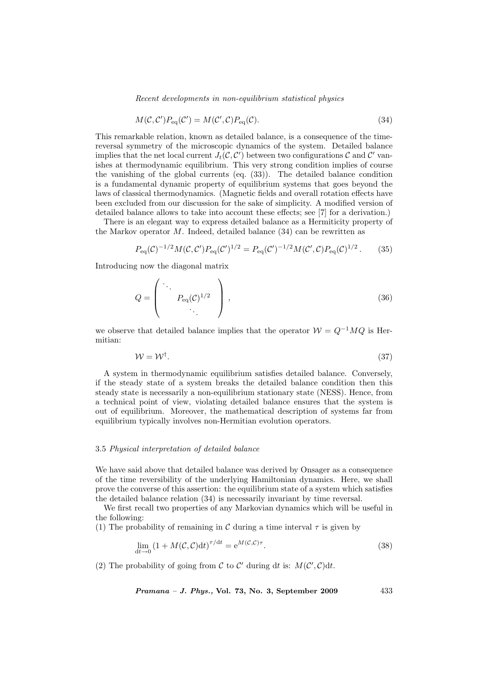$$
M(\mathcal{C}, \mathcal{C}')P_{\text{eq}}(\mathcal{C}') = M(\mathcal{C}', \mathcal{C})P_{\text{eq}}(\mathcal{C}).
$$
\n(34)

This remarkable relation, known as detailed balance, is a consequence of the timereversal symmetry of the microscopic dynamics of the system. Detailed balance implies that the net local current  $J_t(\mathcal{C}, \mathcal{C}')$  between two configurations  $\mathcal C$  and  $\mathcal C'$  vanishes at thermodynamic equilibrium. This very strong condition implies of course the vanishing of the global currents (eq. (33)). The detailed balance condition is a fundamental dynamic property of equilibrium systems that goes beyond the laws of classical thermodynamics. (Magnetic fields and overall rotation effects have been excluded from our discussion for the sake of simplicity. A modified version of detailed balance allows to take into account these effects; see [7] for a derivation.)

There is an elegant way to express detailed balance as a Hermiticity property of the Markov operator  $M$ . Indeed, detailed balance  $(34)$  can be rewritten as

$$
P_{\text{eq}}(\mathcal{C})^{-1/2} M(\mathcal{C}, \mathcal{C}') P_{\text{eq}}(\mathcal{C}')^{1/2} = P_{\text{eq}}(\mathcal{C}')^{-1/2} M(\mathcal{C}', \mathcal{C}) P_{\text{eq}}(\mathcal{C})^{1/2}.
$$
 (35)

Introducing now the diagonal matrix

$$
Q = \left(\begin{array}{c} \ddots & \\ & P_{\text{eq}}(\mathcal{C})^{1/2} \\ & & \ddots \end{array}\right),\tag{36}
$$

we observe that detailed balance implies that the operator  $W = Q^{-1}MQ$  is Hermitian:

$$
W = W^{\dagger}.
$$
\n<sup>(37)</sup>

A system in thermodynamic equilibrium satisfies detailed balance. Conversely, if the steady state of a system breaks the detailed balance condition then this steady state is necessarily a non-equilibrium stationary state (NESS). Hence, from a technical point of view, violating detailed balance ensures that the system is out of equilibrium. Moreover, the mathematical description of systems far from equilibrium typically involves non-Hermitian evolution operators.

#### 3.5 Physical interpretation of detailed balance

We have said above that detailed balance was derived by Onsager as a consequence of the time reversibility of the underlying Hamiltonian dynamics. Here, we shall prove the converse of this assertion: the equilibrium state of a system which satisfies the detailed balance relation (34) is necessarily invariant by time reversal.

We first recall two properties of any Markovian dynamics which will be useful in the following:

(1) The probability of remaining in C during a time interval  $\tau$  is given by

$$
\lim_{\mathrm{d}t \to 0} \left(1 + M(\mathcal{C}, \mathcal{C}) \mathrm{d}t\right)^{\tau/\mathrm{d}t} = \mathrm{e}^{M(\mathcal{C}, \mathcal{C})\tau}.\tag{38}
$$

(2) The probability of going from C to C' during dt is:  $M(C', C)dt$ .

Pramana – J. Phys., Vol. 73, No. 3, September 2009 433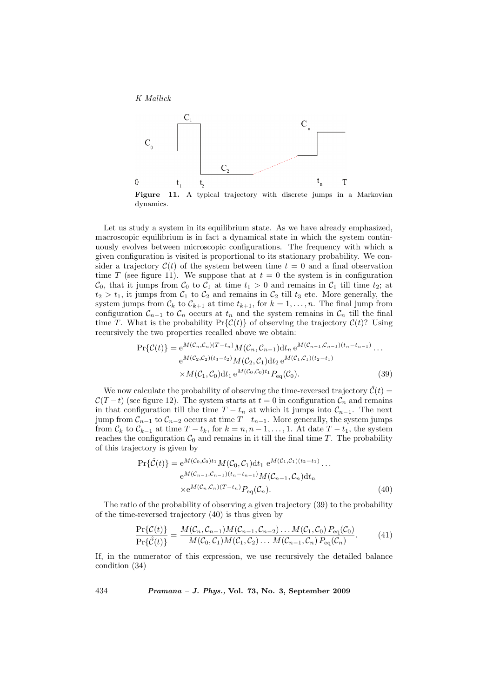



Figure 11. A typical trajectory with discrete jumps in a Markovian dynamics.

Let us study a system in its equilibrium state. As we have already emphasized, macroscopic equilibrium is in fact a dynamical state in which the system continuously evolves between microscopic configurations. The frequency with which a given configuration is visited is proportional to its stationary probability. We consider a trajectory  $\mathcal{C}(t)$  of the system between time  $t = 0$  and a final observation time T (see figure 11). We suppose that at  $t = 0$  the system is in configuration  $\mathcal{C}_0$ , that it jumps from  $\mathcal{C}_0$  to  $\mathcal{C}_1$  at time  $t_1 > 0$  and remains in  $\mathcal{C}_1$  till time  $t_2$ ; at  $t_2 > t_1$ , it jumps from  $C_1$  to  $C_2$  and remains in  $C_2$  till  $t_3$  etc. More generally, the system jumps from  $\mathcal{C}_k$  to  $\mathcal{C}_{k+1}$  at time  $t_{k+1}$ , for  $k = 1, \ldots, n$ . The final jump from configuration  $\mathcal{C}_{n-1}$  to  $\mathcal{C}_n$  occurs at  $t_n$  and the system remains in  $\mathcal{C}_n$  till the final time T. What is the probability  $Pr{C(t)}$  of observing the trajectory  $C(t)$ ? Using recursively the two properties recalled above we obtain:

$$
\Pr\{\mathcal{C}(t)\} = e^{M(\mathcal{C}_n, \mathcal{C}_n)(T-t_n)} M(\mathcal{C}_n, \mathcal{C}_{n-1}) dt_n e^{M(\mathcal{C}_{n-1}, \mathcal{C}_{n-1})(t_n - t_{n-1})} \dots \n e^{M(\mathcal{C}_2, \mathcal{C}_2)(t_3 - t_2)} M(\mathcal{C}_2, \mathcal{C}_1) dt_2 e^{M(\mathcal{C}_1, \mathcal{C}_1)(t_2 - t_1)} \n \times M(\mathcal{C}_1, \mathcal{C}_0) dt_1 e^{M(\mathcal{C}_0, \mathcal{C}_0)t_1} P_{\text{eq}}(\mathcal{C}_0).
$$
\n(39)

We now calculate the probability of observing the time-reversed trajectory  $\mathcal{C}(t)$  =  $C(T-t)$  (see figure 12). The system starts at  $t=0$  in configuration  $C_n$  and remains in that configuration till the time  $T - t_n$  at which it jumps into  $\mathcal{C}_{n-1}$ . The next jump from  $\mathcal{C}_{n-1}$  to  $\mathcal{C}_{n-2}$  occurs at time  $T-t_{n-1}$ . More generally, the system jumps from  $C_k$  to  $C_{k-1}$  at time  $T - t_k$ , for  $k = n, n-1, \ldots, 1$ . At date  $T - t_1$ , the system reaches the configuration  $C_0$  and remains in it till the final time T. The probability of this trajectory is given by

$$
\Pr\{\hat{\mathcal{C}}(t)\} = e^{M(\mathcal{C}_0, \mathcal{C}_0)t_1} M(\mathcal{C}_0, \mathcal{C}_1) dt_1 \ e^{M(\mathcal{C}_1, \mathcal{C}_1)(t_2 - t_1)} \dots \ne^{M(\mathcal{C}_{n-1}, \mathcal{C}_{n-1})(t_n - t_{n-1})} M(\mathcal{C}_{n-1}, \mathcal{C}_n) dt_n \times e^{M(\mathcal{C}_n, \mathcal{C}_n)(T - t_n)} P_{\text{eq}}(\mathcal{C}_n).
$$
\n(40)

The ratio of the probability of observing a given trajectory (39) to the probability of the time-reversed trajectory (40) is thus given by

$$
\frac{\Pr\{\mathcal{C}(t)\}}{\Pr\{\hat{\mathcal{C}}(t)\}} = \frac{M(\mathcal{C}_n, \mathcal{C}_{n-1})M(\mathcal{C}_{n-1}, \mathcal{C}_{n-2})\dots M(\mathcal{C}_1, \mathcal{C}_0) P_{\text{eq}}(\mathcal{C}_0)}{M(\mathcal{C}_0, \mathcal{C}_1)M(\mathcal{C}_1, \mathcal{C}_2)\dots M(\mathcal{C}_{n-1}, \mathcal{C}_n) P_{\text{eq}}(\mathcal{C}_n)}.
$$
(41)

If, in the numerator of this expression, we use recursively the detailed balance condition (34)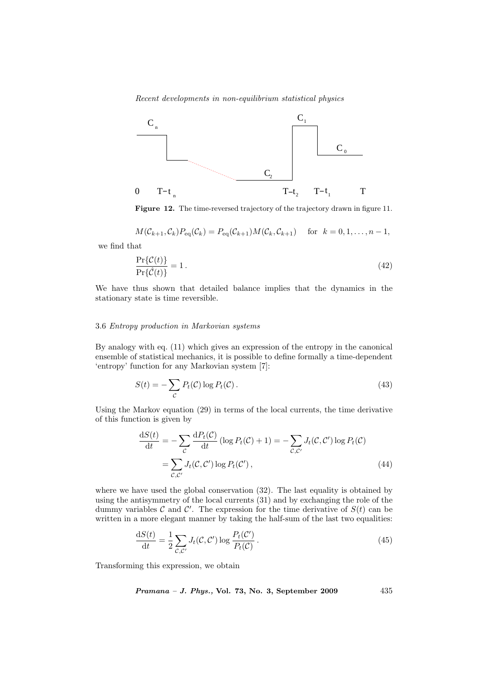

Figure 12. The time-reversed trajectory of the trajectory drawn in figure 11.

$$
M(\mathcal{C}_{k+1}, \mathcal{C}_k) P_{\text{eq}}(\mathcal{C}_k) = P_{\text{eq}}(\mathcal{C}_{k+1}) M(\mathcal{C}_k, \mathcal{C}_{k+1}) \quad \text{for } k = 0, 1, \ldots, n-1,
$$

we find that

$$
\frac{\Pr\{\mathcal{C}(t)\}}{\Pr\{\hat{\mathcal{C}}(t)\}} = 1. \tag{42}
$$

We have thus shown that detailed balance implies that the dynamics in the stationary state is time reversible.

# 3.6 Entropy production in Markovian systems

By analogy with eq. (11) which gives an expression of the entropy in the canonical ensemble of statistical mechanics, it is possible to define formally a time-dependent 'entropy' function for any Markovian system [7]:

$$
S(t) = -\sum_{\mathcal{C}} P_t(\mathcal{C}) \log P_t(\mathcal{C}). \tag{43}
$$

Using the Markov equation (29) in terms of the local currents, the time derivative of this function is given by

$$
\frac{dS(t)}{dt} = -\sum_{\mathcal{C}} \frac{dP_t(\mathcal{C})}{dt} (\log P_t(\mathcal{C}) + 1) = -\sum_{\mathcal{C}, \mathcal{C}'} J_t(\mathcal{C}, \mathcal{C}') \log P_t(\mathcal{C})
$$

$$
= \sum_{\mathcal{C}, \mathcal{C}'} J_t(\mathcal{C}, \mathcal{C}') \log P_t(\mathcal{C}'), \tag{44}
$$

where we have used the global conservation  $(32)$ . The last equality is obtained by using the antisymmetry of the local currents (31) and by exchanging the role of the dummy variables C and C'. The expression for the time derivative of  $S(t)$  can be written in a more elegant manner by taking the half-sum of the last two equalities:

$$
\frac{\mathrm{d}S(t)}{\mathrm{d}t} = \frac{1}{2} \sum_{\mathcal{C}, \mathcal{C}'} J_t(\mathcal{C}, \mathcal{C}') \log \frac{P_t(\mathcal{C}')}{P_t(\mathcal{C})} \,. \tag{45}
$$

Transforming this expression, we obtain

$$
Pramana - J. Phys., Vol. 73, No. 3, September 2009 \qquad \qquad 435
$$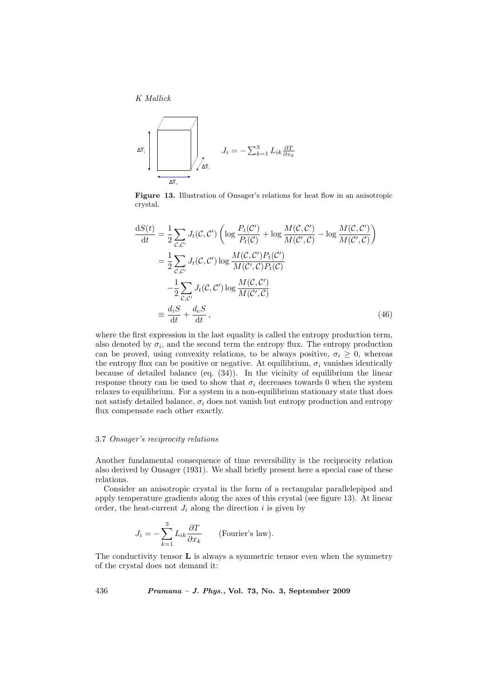$$
J_{\mathrm{I}} = -\sum_{k=1}^{3} L_{ik} \frac{\partial T}{\partial x_k}
$$

Figure 13. Illustration of Onsager's relations for heat flow in an anisotropic crystal.

$$
\frac{dS(t)}{dt} = \frac{1}{2} \sum_{\mathcal{C}, \mathcal{C}'} J_t(\mathcal{C}, \mathcal{C}') \left( \log \frac{P_t(\mathcal{C}')}{P_t(\mathcal{C})} + \log \frac{M(\mathcal{C}, \mathcal{C}')}{M(\mathcal{C}', \mathcal{C})} - \log \frac{M(\mathcal{C}, \mathcal{C}')}{M(\mathcal{C}', \mathcal{C})} \right)
$$
  
\n
$$
= \frac{1}{2} \sum_{\mathcal{C}, \mathcal{C}'} J_t(\mathcal{C}, \mathcal{C}') \log \frac{M(\mathcal{C}, \mathcal{C}') P_t(\mathcal{C}')}{M(\mathcal{C}', \mathcal{C}) P_t(\mathcal{C})}
$$
  
\n
$$
- \frac{1}{2} \sum_{\mathcal{C}, \mathcal{C}'} J_t(\mathcal{C}, \mathcal{C}') \log \frac{M(\mathcal{C}, \mathcal{C}')}{M(\mathcal{C}', \mathcal{C})}
$$
  
\n
$$
\equiv \frac{d_i S}{dt} + \frac{d_e S}{dt}, \qquad (46)
$$

where the first expression in the last equality is called the entropy production term, also denoted by  $\sigma_i$ , and the second term the entropy flux. The entropy production can be proved, using convexity relations, to be always positive,  $\sigma_i \geq 0$ , whereas the entropy flux can be positive or negative. At equilibrium,  $\sigma_i$  vanishes identically because of detailed balance (eq. (34)). In the vicinity of equilibrium the linear response theory can be used to show that  $\sigma_i$  decreases towards 0 when the system relaxes to equilibrium. For a system in a non-equilibrium stationary state that does not satisfy detailed balance,  $\sigma_i$  does not vanish but entropy production and entropy flux compensate each other exactly.

#### 3.7 Onsager's reciprocity relations

Another fundamental consequence of time reversibility is the reciprocity relation also derived by Onsager (1931). We shall briefly present here a special case of these relations.

Consider an anisotropic crystal in the form of a rectangular parallelepiped and apply temperature gradients along the axes of this crystal (see figure 13). At linear order, the heat-current  $J_i$  along the direction i is given by

$$
J_i = -\sum_{k=1}^{3} L_{ik} \frac{\partial T}{\partial x_k}
$$
 (Fourier's law).

The conductivity tensor  **is always a symmetric tensor even when the symmetry** of the crystal does not demand it: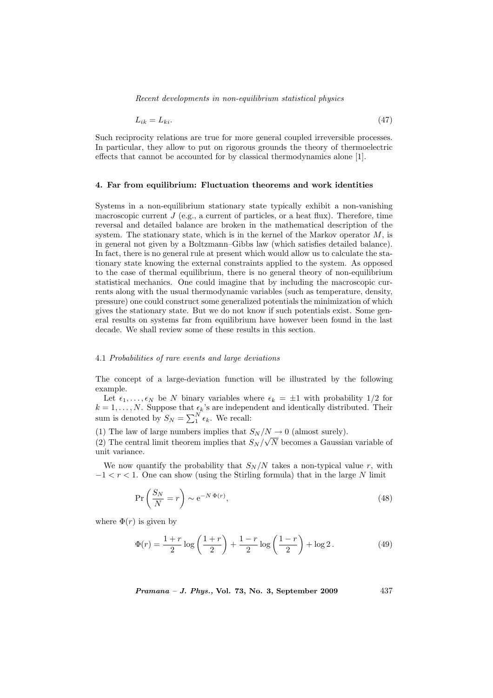$$
L_{ik} = L_{ki}.\tag{47}
$$

Such reciprocity relations are true for more general coupled irreversible processes. In particular, they allow to put on rigorous grounds the theory of thermoelectric effects that cannot be accounted for by classical thermodynamics alone [1].

## 4. Far from equilibrium: Fluctuation theorems and work identities

Systems in a non-equilibrium stationary state typically exhibit a non-vanishing macroscopic current  $J$  (e.g., a current of particles, or a heat flux). Therefore, time reversal and detailed balance are broken in the mathematical description of the system. The stationary state, which is in the kernel of the Markov operator  $M$ , is in general not given by a Boltzmann–Gibbs law (which satisfies detailed balance). In fact, there is no general rule at present which would allow us to calculate the stationary state knowing the external constraints applied to the system. As opposed to the case of thermal equilibrium, there is no general theory of non-equilibrium statistical mechanics. One could imagine that by including the macroscopic currents along with the usual thermodynamic variables (such as temperature, density, pressure) one could construct some generalized potentials the minimization of which gives the stationary state. But we do not know if such potentials exist. Some general results on systems far from equilibrium have however been found in the last decade. We shall review some of these results in this section.

#### 4.1 Probabilities of rare events and large deviations

The concept of a large-deviation function will be illustrated by the following example.

Let  $\epsilon_1, \ldots, \epsilon_N$  be N binary variables where  $\epsilon_k = \pm 1$  with probability 1/2 for  $k = 1, \ldots, N$ . Suppose that  $\epsilon_k$ 's are independent and identically distributed. Their  $k = 1, \ldots, N$ . Suppose that  $\epsilon$ <br>sum is denoted by  $S_N = \sum_{1}^{N}$  $\frac{N}{1}$   $\epsilon_k$ . We recall:

(1) The law of large numbers implies that  $S_N/N \to 0$  (almost surely).

(2) The central limit theorem implies that  $S_N/\sqrt{N}$  becomes a Gaussian variable of unit variance.

We now quantify the probability that  $S_N/N$  takes a non-typical value r, with  $-1 < r < 1$ . One can show (using the Stirling formula) that in the large N limit

$$
\Pr\left(\frac{S_N}{N} = r\right) \sim e^{-N\Phi(r)},\tag{48}
$$

where  $\Phi(r)$  is given by

$$
\Phi(r) = \frac{1+r}{2}\log\left(\frac{1+r}{2}\right) + \frac{1-r}{2}\log\left(\frac{1-r}{2}\right) + \log 2.
$$
 (49)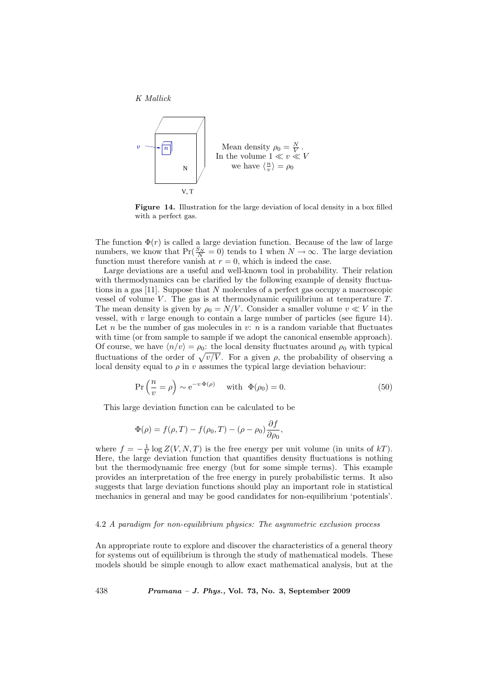

Figure 14. Illustration for the large deviation of local density in a box filled with a perfect gas.

The function  $\Phi(r)$  is called a large deviation function. Because of the law of large numbers, we know that  $Pr(\frac{S_N}{N} = 0)$  tends to 1 when  $N \to \infty$ . The large deviation function must therefore vanish at  $r = 0$ , which is indeed the case.

Large deviations are a useful and well-known tool in probability. Their relation with thermodynamics can be clarified by the following example of density fluctuations in a gas [11]. Suppose that N molecules of a perfect gas occupy a macroscopic vessel of volume  $V$ . The gas is at thermodynamic equilibrium at temperature  $T$ . The mean density is given by  $\rho_0 = N/V$ . Consider a smaller volume  $v \ll V$  in the vessel, with  $v$  large enough to contain a large number of particles (see figure 14). Let n be the number of gas molecules in  $v: n$  is a random variable that fluctuates with time (or from sample to sample if we adopt the canonical ensemble approach). Of course, we have  $\langle n/v \rangle = \rho_0$ : the local density fluctuates around  $\rho_0$  with typical Or course, we nave  $\langle n/v \rangle = \rho_0$ : the local density nuctuations around  $\rho_0$  with typical fluctuations of the order of  $\sqrt{v/V}$ . For a given  $\rho$ , the probability of observing a local density equal to  $\rho$  in v assumes the typical large deviation behaviour:

$$
\Pr\left(\frac{n}{v} = \rho\right) \sim e^{-v \Phi(\rho)} \quad \text{with} \quad \Phi(\rho_0) = 0. \tag{50}
$$

This large deviation function can be calculated to be

$$
\Phi(\rho) = f(\rho, T) - f(\rho_0, T) - (\rho - \rho_0) \frac{\partial f}{\partial \rho_0},
$$

where  $f = -\frac{1}{V} \log Z(V, N, T)$  is the free energy per unit volume (in units of kT). Here, the large deviation function that quantifies density fluctuations is nothing but the thermodynamic free energy (but for some simple terms). This example provides an interpretation of the free energy in purely probabilistic terms. It also suggests that large deviation functions should play an important role in statistical mechanics in general and may be good candidates for non-equilibrium 'potentials'.

#### 4.2 A paradigm for non-equilibrium physics: The asymmetric exclusion process

An appropriate route to explore and discover the characteristics of a general theory for systems out of equilibrium is through the study of mathematical models. These models should be simple enough to allow exact mathematical analysis, but at the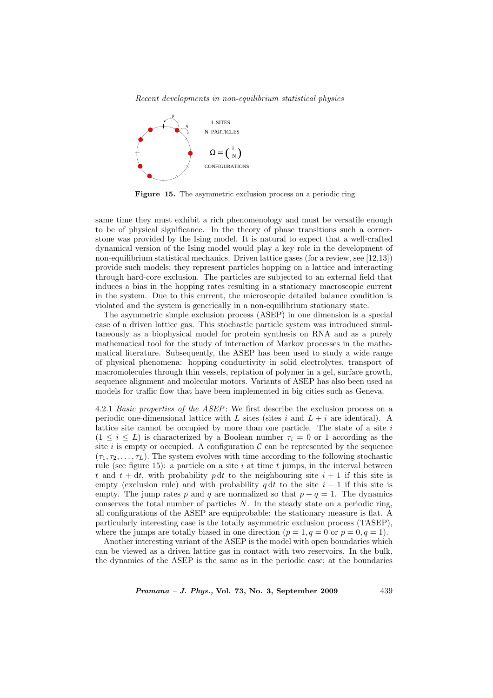Recent developments in non-equilibrium statistical physics



Figure 15. The asymmetric exclusion process on a periodic ring.

same time they must exhibit a rich phenomenology and must be versatile enough to be of physical significance. In the theory of phase transitions such a cornerstone was provided by the Ising model. It is natural to expect that a well-crafted dynamical version of the Ising model would play a key role in the development of non-equilibrium statistical mechanics. Driven lattice gases (for a review, see [12,13]) provide such models; they represent particles hopping on a lattice and interacting through hard-core exclusion. The particles are subjected to an external field that induces a bias in the hopping rates resulting in a stationary macroscopic current in the system. Due to this current, the microscopic detailed balance condition is violated and the system is generically in a non-equilibrium stationary state.

The asymmetric simple exclusion process (ASEP) in one dimension is a special case of a driven lattice gas. This stochastic particle system was introduced simultaneously as a biophysical model for protein synthesis on RNA and as a purely mathematical tool for the study of interaction of Markov processes in the mathematical literature. Subsequently, the ASEP has been used to study a wide range of physical phenomena: hopping conductivity in solid electrolytes, transport of macromolecules through thin vessels, reptation of polymer in a gel, surface growth, sequence alignment and molecular motors. Variants of ASEP has also been used as models for traffic flow that have been implemented in big cities such as Geneva.

4.2.1 Basic properties of the ASEP: We first describe the exclusion process on a periodic one-dimensional lattice with L sites (sites i and  $L + i$  are identical). A lattice site cannot be occupied by more than one particle. The state of a site  $i$  $(1 \leq i \leq L)$  is characterized by a Boolean number  $\tau_i = 0$  or 1 according as the site i is empty or occupied. A configuration  $\mathcal C$  can be represented by the sequence  $(\tau_1, \tau_2, \ldots, \tau_L)$ . The system evolves with time according to the following stochastic rule (see figure 15): a particle on a site  $i$  at time  $t$  jumps, in the interval between t and  $t + dt$ , with probability pdt to the neighbouring site  $i + 1$  if this site is empty (exclusion rule) and with probability q dt to the site  $i - 1$  if this site is empty. The jump rates p and q are normalized so that  $p + q = 1$ . The dynamics conserves the total number of particles  $N$ . In the steady state on a periodic ring, all configurations of the ASEP are equiprobable: the stationary measure is flat. A particularly interesting case is the totally asymmetric exclusion process (TASEP), where the jumps are totally biased in one direction  $(p = 1, q = 0 \text{ or } p = 0, q = 1)$ .

Another interesting variant of the ASEP is the model with open boundaries which can be viewed as a driven lattice gas in contact with two reservoirs. In the bulk, the dynamics of the ASEP is the same as in the periodic case; at the boundaries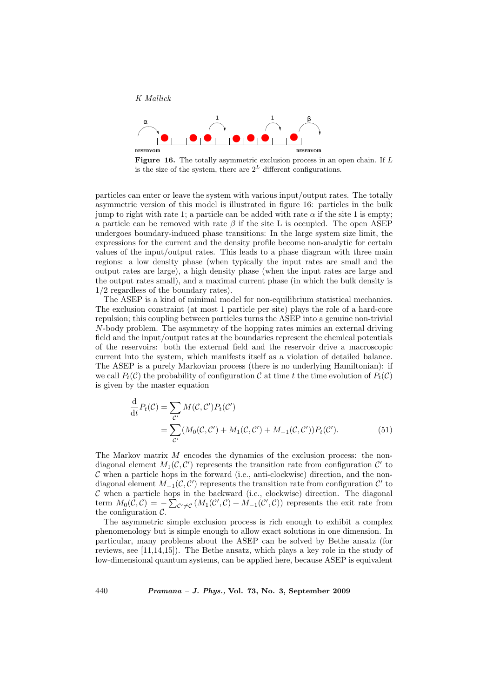

**Figure 16.** The totally asymmetric exclusion process in an open chain. If  $L$ is the size of the system, there are  $2^L$  different configurations.

particles can enter or leave the system with various input/output rates. The totally asymmetric version of this model is illustrated in figure 16: particles in the bulk jump to right with rate 1; a particle can be added with rate  $\alpha$  if the site 1 is empty; a particle can be removed with rate  $\beta$  if the site L is occupied. The open ASEP undergoes boundary-induced phase transitions: In the large system size limit, the expressions for the current and the density profile become non-analytic for certain values of the input/output rates. This leads to a phase diagram with three main regions: a low density phase (when typically the input rates are small and the output rates are large), a high density phase (when the input rates are large and the output rates small), and a maximal current phase (in which the bulk density is 1/2 regardless of the boundary rates).

The ASEP is a kind of minimal model for non-equilibrium statistical mechanics. The exclusion constraint (at most 1 particle per site) plays the role of a hard-core repulsion; this coupling between particles turns the ASEP into a genuine non-trivial N-body problem. The asymmetry of the hopping rates mimics an external driving field and the input/output rates at the boundaries represent the chemical potentials of the reservoirs: both the external field and the reservoir drive a macroscopic current into the system, which manifests itself as a violation of detailed balance. The ASEP is a purely Markovian process (there is no underlying Hamiltonian): if we call  $P_t(\mathcal{C})$  the probability of configuration C at time t the time evolution of  $P_t(\mathcal{C})$ is given by the master equation

$$
\frac{d}{dt}P_t(\mathcal{C}) = \sum_{\mathcal{C}'} M(\mathcal{C}, \mathcal{C}') P_t(\mathcal{C}')
$$
\n
$$
= \sum_{\mathcal{C}'} (M_0(\mathcal{C}, \mathcal{C}') + M_1(\mathcal{C}, \mathcal{C}') + M_{-1}(\mathcal{C}, \mathcal{C}')) P_t(\mathcal{C}').
$$
\n(51)

The Markov matrix M encodes the dynamics of the exclusion process: the nondiagonal element  $M_1(\mathcal{C}, \mathcal{C}')$  represents the transition rate from configuration  $\mathcal{C}'$  to  $\mathcal C$  when a particle hops in the forward (i.e., anti-clockwise) direction, and the nondiagonal element  $M_{-1}(\mathcal{C}, \mathcal{C}')$  represents the transition rate from configuration  $\mathcal{C}'$  to  $\mathcal C$  when a particle hops in the backward (i.e., clockwise) direction. The diagonal term  $M_0(\mathcal{C}, \mathcal{C}) = -\sum_{\mathcal{C}' \neq \mathcal{C}} (M_1(\mathcal{C}', \mathcal{C}) + M_{-1}(\mathcal{C}', \mathcal{C}))$  represents the exit rate from the configuration  $\mathcal{C}$ .

The asymmetric simple exclusion process is rich enough to exhibit a complex phenomenology but is simple enough to allow exact solutions in one dimension. In particular, many problems about the ASEP can be solved by Bethe ansatz (for reviews, see [11,14,15]). The Bethe ansatz, which plays a key role in the study of low-dimensional quantum systems, can be applied here, because ASEP is equivalent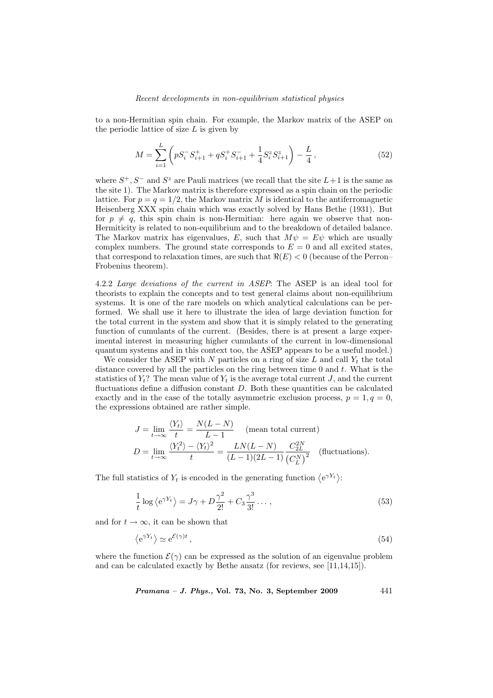to a non-Hermitian spin chain. For example, the Markov matrix of the ASEP on the periodic lattice of size  $L$  is given by

$$
M = \sum_{i=1}^{L} \left( pS_i^{-} S_{i+1}^{+} + qS_i^{+} S_{i+1}^{-} + \frac{1}{4} S_i^{z} S_{i+1}^{z} \right) - \frac{L}{4},
$$
\n(52)

where  $S^+$ ,  $S^-$  and  $S^z$  are Pauli matrices (we recall that the site  $L+1$  is the same as the site 1). The Markov matrix is therefore expressed as a spin chain on the periodic lattice. For  $p = q = 1/2$ , the Markov matrix M is identical to the antiferromagnetic Heisenberg XXX spin chain which was exactly solved by Hans Bethe (1931). But for  $p \neq q$ , this spin chain is non-Hermitian: here again we observe that non-Hermiticity is related to non-equilibrium and to the breakdown of detailed balance. The Markov matrix has eigenvalues, E, such that  $M\psi = E\psi$  which are usually complex numbers. The ground state corresponds to  $E = 0$  and all excited states, that correspond to relaxation times, are such that  $\Re(E) < 0$  (because of the Perron– Frobenius theorem).

4.2.2 Large deviations of the current in ASEP: The ASEP is an ideal tool for theorists to explain the concepts and to test general claims about non-equilibrium systems. It is one of the rare models on which analytical calculations can be performed. We shall use it here to illustrate the idea of large deviation function for the total current in the system and show that it is simply related to the generating function of cumulants of the current. (Besides, there is at present a large experimental interest in measuring higher cumulants of the current in low-dimensional quantum systems and in this context too, the ASEP appears to be a useful model.)

We consider the ASEP with N particles on a ring of size  $L$  and call  $Y_t$  the total distance covered by all the particles on the ring between time 0 and  $t$ . What is the statistics of  $Y_t$ ? The mean value of  $Y_t$  is the average total current J, and the current fluctuations define a diffusion constant D. Both these quantities can be calculated exactly and in the case of the totally asymmetric exclusion process,  $p = 1, q = 0$ , the expressions obtained are rather simple.

$$
J = \lim_{t \to \infty} \frac{\langle Y_t \rangle}{t} = \frac{N(L - N)}{L - 1}
$$
 (mean total current)  

$$
D = \lim_{t \to \infty} \frac{\langle Y_t^2 \rangle - \langle Y_t \rangle^2}{t} = \frac{LN(L - N)}{(L - 1)(2L - 1)} \frac{C_{2L}^{2N}}{(C_L^N)^2}
$$
 (fluctuations).

The full statistics of  $Y_t$  is encoded in the generating function  $\langle e^{\gamma Y_t} \rangle$ :

$$
\frac{1}{t}\log\left\langle e^{\gamma Y_t}\right\rangle = J\gamma + D\frac{\gamma^2}{2!} + C_3\frac{\gamma^3}{3!} \dots ,\qquad (53)
$$

and for  $t \to \infty$ , it can be shown that

$$
\langle e^{\gamma Y_t} \rangle \simeq e^{\mathcal{E}(\gamma)t},\tag{54}
$$

where the function  $\mathcal{E}(\gamma)$  can be expressed as the solution of an eigenvalue problem and can be calculated exactly by Bethe ansatz (for reviews, see [11,14,15]).

Pramana – J. Phys., Vol. 73, No. 3, September 2009 441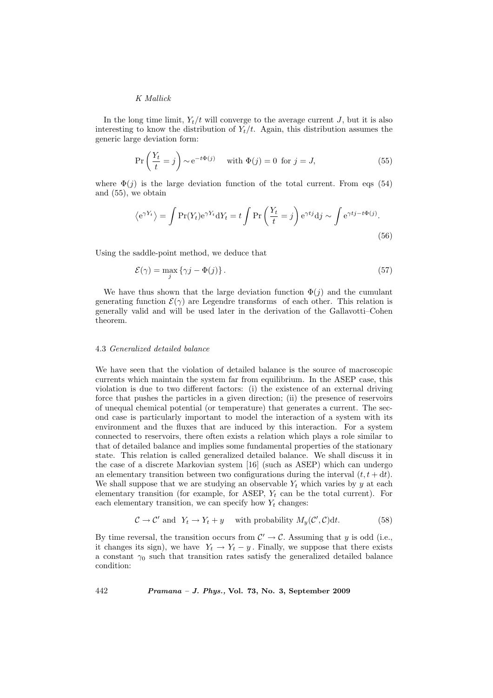In the long time limit,  $Y_t/t$  will converge to the average current J, but it is also interesting to know the distribution of  $Y_t/t$ . Again, this distribution assumes the generic large deviation form:

$$
\Pr\left(\frac{Y_t}{t} = j\right) \sim e^{-t\Phi(j)} \quad \text{with } \Phi(j) = 0 \text{ for } j = J,
$$
\n(55)

where  $\Phi(j)$  is the large deviation function of the total current. From eqs (54) and (55), we obtain

$$
\left\langle e^{\gamma Y_t} \right\rangle = \int \Pr(Y_t) e^{\gamma Y_t} dY_t = t \int \Pr\left(\frac{Y_t}{t} = j\right) e^{\gamma t j} dj \sim \int e^{\gamma t j - t \Phi(j)}.
$$
\n(56)

Using the saddle-point method, we deduce that

$$
\mathcal{E}(\gamma) = \max_{j} \{ \gamma j - \Phi(j) \}.
$$
 (57)

We have thus shown that the large deviation function  $\Phi(j)$  and the cumulant generating function  $\mathcal{E}(\gamma)$  are Legendre transforms of each other. This relation is generally valid and will be used later in the derivation of the Gallavotti–Cohen theorem.

### 4.3 Generalized detailed balance

We have seen that the violation of detailed balance is the source of macroscopic currents which maintain the system far from equilibrium. In the ASEP case, this violation is due to two different factors: (i) the existence of an external driving force that pushes the particles in a given direction; (ii) the presence of reservoirs of unequal chemical potential (or temperature) that generates a current. The second case is particularly important to model the interaction of a system with its environment and the fluxes that are induced by this interaction. For a system connected to reservoirs, there often exists a relation which plays a role similar to that of detailed balance and implies some fundamental properties of the stationary state. This relation is called generalized detailed balance. We shall discuss it in the case of a discrete Markovian system [16] (such as ASEP) which can undergo an elementary transition between two configurations during the interval  $(t, t + dt)$ . We shall suppose that we are studying an observable  $Y_t$  which varies by y at each elementary transition (for example, for ASEP,  $Y_t$  can be the total current). For each elementary transition, we can specify how  $Y_t$  changes:

$$
C \to C' \text{ and } Y_t \to Y_t + y \quad \text{with probability } M_y(C', C)dt. \tag{58}
$$

By time reversal, the transition occurs from  $\mathcal{C}' \to \mathcal{C}$ . Assuming that y is odd (i.e., it changes its sign), we have  $Y_t \to Y_t - y$ . Finally, we suppose that there exists a constant  $\gamma_0$  such that transition rates satisfy the generalized detailed balance condition: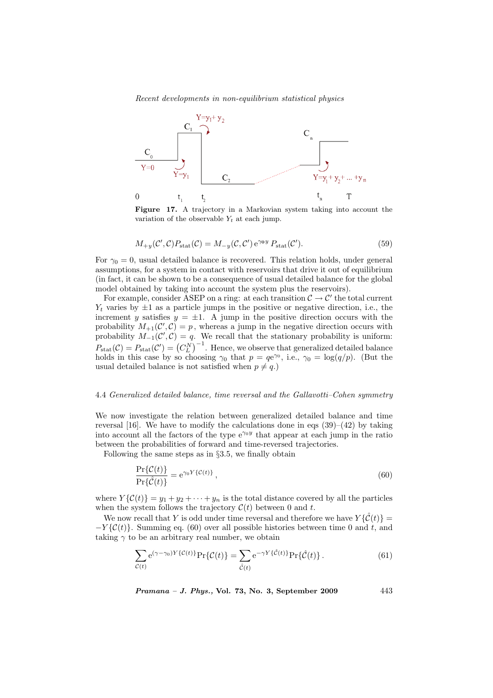Recent developments in non-equilibrium statistical physics



Figure 17. A trajectory in a Markovian system taking into account the variation of the observable  $Y_t$  at each jump.

$$
M_{+y}(\mathcal{C}', \mathcal{C})P_{\text{stat}}(\mathcal{C}) = M_{-y}(\mathcal{C}, \mathcal{C}') e^{\gamma \circ y} P_{\text{stat}}(\mathcal{C}'). \tag{59}
$$

For  $\gamma_0 = 0$ , usual detailed balance is recovered. This relation holds, under general assumptions, for a system in contact with reservoirs that drive it out of equilibrium (in fact, it can be shown to be a consequence of usual detailed balance for the global model obtained by taking into account the system plus the reservoirs).

For example, consider ASEP on a ring: at each transition  $C \rightarrow C'$  the total current  $Y_t$  varies by  $\pm 1$  as a particle jumps in the positive or negative direction, i.e., the increment y satisfies  $y = \pm 1$ . A jump in the positive direction occurs with the probability  $M_{+1}(\mathcal{C}', \mathcal{C}) = p$ , whereas a jump in the negative direction occurs with probability  $M_{-1}(\mathcal{C}', \mathcal{C}) = q$ . We recall that the stationary probability is uniform:  $P_{\text{stat}}(\mathcal{C}) = P_{\text{stat}}(\mathcal{C}') = (C_L^N)$  $\int_{0}^{\infty}$ . Hence, we observe that generalized detailed balance holds in this case by so choosing  $\gamma_0$  that  $p = qe^{\gamma_0}$ , i.e.,  $\gamma_0 = \log(q/p)$ . (But the usual detailed balance is not satisfied when  $p \neq q$ .)

## 4.4 Generalized detailed balance, time reversal and the Gallavotti–Cohen symmetry

We now investigate the relation between generalized detailed balance and time reversal [16]. We have to modify the calculations done in eqs  $(39)-(42)$  by taking into account all the factors of the type  $e^{\gamma_0 y}$  that appear at each jump in the ratio between the probabilities of forward and time-reversed trajectories.

Following the same steps as in §3.5, we finally obtain

$$
\frac{\Pr\{\mathcal{C}(t)\}}{\Pr\{\hat{\mathcal{C}}(t)\}} = e^{\gamma_0 Y \{\mathcal{C}(t)\}},\tag{60}
$$

where  $Y\{\mathcal{C}(t)\}=y_1+y_2+\cdots+y_n$  is the total distance covered by all the particles when the system follows the trajectory  $\mathcal{C}(t)$  between 0 and t.

We now recall that Y is odd under time reversal and therefore we have  $Y\{\hat{\mathcal{C}}(t)\}$  $-V{C(t)}$ . Summing eq. (60) over all possible histories between time 0 and t, and taking  $\gamma$  to be an arbitrary real number, we obtain

$$
\sum_{\mathcal{C}(t)} e^{(\gamma - \gamma_0)Y\{\mathcal{C}(t)\}} \Pr\{\mathcal{C}(t)\} = \sum_{\hat{\mathcal{C}}(t)} e^{-\gamma Y\{\hat{\mathcal{C}}(t)\}} \Pr\{\hat{\mathcal{C}}(t)\}.
$$
 (61)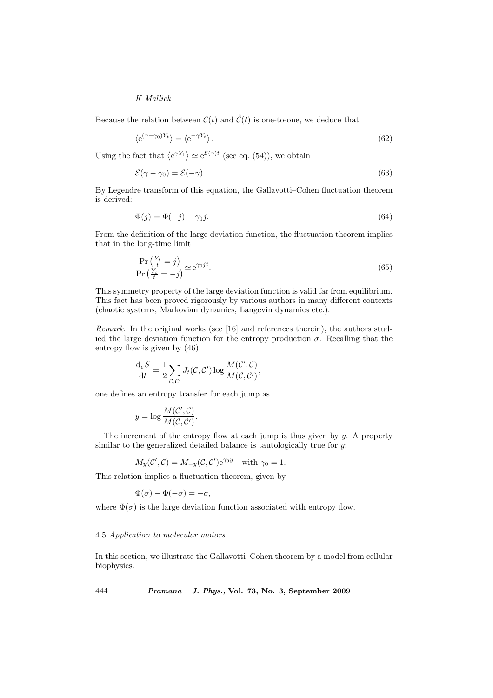Because the relation between  $\mathcal{C}(t)$  and  $\hat{\mathcal{C}}(t)$  is one-to-one, we deduce that

$$
\langle e^{(\gamma - \gamma_0)Y_t} \rangle = \langle e^{-\gamma Y_t} \rangle. \tag{62}
$$

Using the fact that  $\langle e^{\gamma Y_t} \rangle \simeq e^{\mathcal{E}(\gamma)t}$  (see eq. (54)), we obtain

$$
\mathcal{E}(\gamma - \gamma_0) = \mathcal{E}(-\gamma). \tag{63}
$$

By Legendre transform of this equation, the Gallavotti–Cohen fluctuation theorem is derived:

$$
\Phi(j) = \Phi(-j) - \gamma_0 j. \tag{64}
$$

From the definition of the large deviation function, the fluctuation theorem implies that in the long-time limit

$$
\frac{\Pr\left(\frac{Y_t}{t} = j\right)}{\Pr\left(\frac{Y_t}{t} = -j\right)} \simeq e^{\gamma_0 jt}.\tag{65}
$$

This symmetry property of the large deviation function is valid far from equilibrium. This fact has been proved rigorously by various authors in many different contexts (chaotic systems, Markovian dynamics, Langevin dynamics etc.).

Remark. In the original works (see [16] and references therein), the authors studied the large deviation function for the entropy production  $\sigma$ . Recalling that the entropy flow is given by (46)

$$
\frac{\mathrm{d}_{e}S}{\mathrm{d}t} = \frac{1}{2} \sum_{\mathcal{C}, \mathcal{C}'} J_{t}(\mathcal{C}, \mathcal{C}') \log \frac{M(\mathcal{C}', \mathcal{C})}{M(\mathcal{C}, \mathcal{C}')} ,
$$

one defines an entropy transfer for each jump as

$$
y = \log \frac{M(C', C)}{M(C, C')}.
$$

The increment of the entropy flow at each jump is thus given by  $y$ . A property similar to the generalized detailed balance is tautologically true for y:

$$
M_y(\mathcal{C}', \mathcal{C}) = M_{-y}(\mathcal{C}, \mathcal{C}')e^{\gamma_0 y}
$$
 with  $\gamma_0 = 1$ .

This relation implies a fluctuation theorem, given by

$$
\Phi(\sigma) - \Phi(-\sigma) = -\sigma,
$$

where  $\Phi(\sigma)$  is the large deviation function associated with entropy flow.

#### 4.5 Application to molecular motors

In this section, we illustrate the Gallavotti–Cohen theorem by a model from cellular biophysics.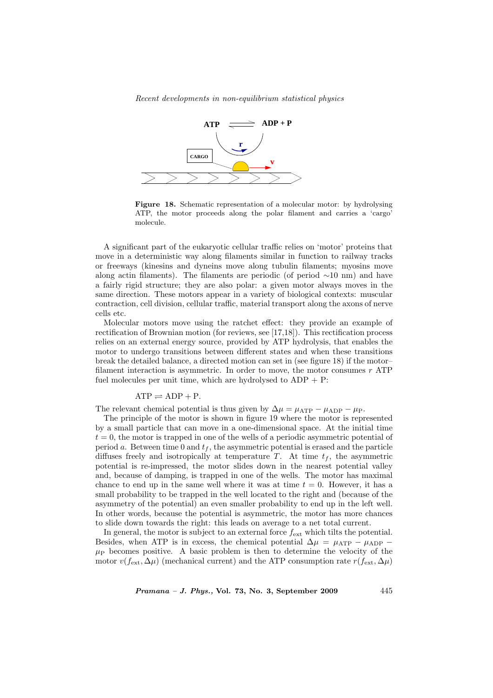

Figure 18. Schematic representation of a molecular motor: by hydrolysing ATP, the motor proceeds along the polar filament and carries a 'cargo' molecule.

A significant part of the eukaryotic cellular traffic relies on 'motor' proteins that move in a deterministic way along filaments similar in function to railway tracks or freeways (kinesins and dyneins move along tubulin filaments; myosins move along actin filaments). The filaments are periodic (of period ∼10 nm) and have a fairly rigid structure; they are also polar: a given motor always moves in the same direction. These motors appear in a variety of biological contexts: muscular contraction, cell division, cellular traffic, material transport along the axons of nerve cells etc.

Molecular motors move using the ratchet effect: they provide an example of rectification of Brownian motion (for reviews, see [17,18]). This rectification process relies on an external energy source, provided by ATP hydrolysis, that enables the motor to undergo transitions between different states and when these transitions break the detailed balance, a directed motion can set in (see figure 18) if the motor– filament interaction is asymmetric. In order to move, the motor consumes  $r$  ATP fuel molecules per unit time, which are hydrolysed to  $ADP + P$ :

#### $ATP \rightleftharpoons ADP + P$ .

The relevant chemical potential is thus given by  $\Delta \mu = \mu_{ATP} - \mu_{ADP} - \mu_P$ .

The principle of the motor is shown in figure 19 where the motor is represented by a small particle that can move in a one-dimensional space. At the initial time  $t = 0$ , the motor is trapped in one of the wells of a periodic asymmetric potential of period a. Between time 0 and  $t_f$ , the asymmetric potential is erased and the particle diffuses freely and isotropically at temperature T. At time  $t_f$ , the asymmetric potential is re-impressed, the motor slides down in the nearest potential valley and, because of damping, is trapped in one of the wells. The motor has maximal chance to end up in the same well where it was at time  $t = 0$ . However, it has a small probability to be trapped in the well located to the right and (because of the asymmetry of the potential) an even smaller probability to end up in the left well. In other words, because the potential is asymmetric, the motor has more chances to slide down towards the right: this leads on average to a net total current.

In general, the motor is subject to an external force  $f_{\text{ext}}$  which tilts the potential. Besides, when ATP is in excess, the chemical potential  $\Delta \mu = \mu_{\text{ATP}} - \mu_{\text{ADP}}$  $\mu_{\rm P}$  becomes positive. A basic problem is then to determine the velocity of the motor  $v(f_{ext}, \Delta \mu)$  (mechanical current) and the ATP consumption rate  $r(f_{ext}, \Delta \mu)$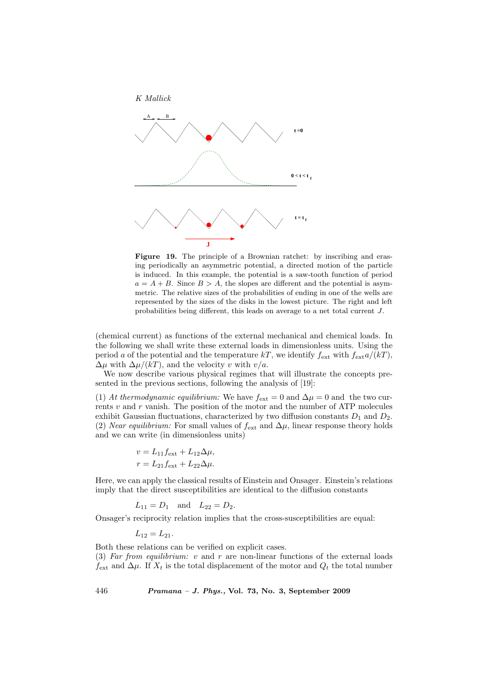

Figure 19. The principle of a Brownian ratchet: by inscribing and erasing periodically an asymmetric potential, a directed motion of the particle is induced. In this example, the potential is a saw-tooth function of period  $a = A + B$ . Since  $B > A$ , the slopes are different and the potential is asymmetric. The relative sizes of the probabilities of ending in one of the wells are represented by the sizes of the disks in the lowest picture. The right and left probabilities being different, this leads on average to a net total current J.

(chemical current) as functions of the external mechanical and chemical loads. In the following we shall write these external loads in dimensionless units. Using the period a of the potential and the temperature kT, we identify  $f_{ext}$  with  $f_{ext}(kT)$ ,  $\Delta \mu$  with  $\Delta \mu/(kT)$ , and the velocity v with  $v/a$ .

We now describe various physical regimes that will illustrate the concepts presented in the previous sections, following the analysis of [19]:

(1) At thermodynamic equilibrium: We have  $f_{ext} = 0$  and  $\Delta \mu = 0$  and the two currents  $v$  and  $r$  vanish. The position of the motor and the number of ATP molecules exhibit Gaussian fluctuations, characterized by two diffusion constants  $D_1$  and  $D_2$ . (2) Near equilibrium: For small values of  $f_{ext}$  and  $\Delta \mu$ , linear response theory holds and we can write (in dimensionless units)

$$
v = L_{11}f_{\text{ext}} + L_{12}\Delta\mu,
$$
  

$$
r = L_{21}f_{\text{ext}} + L_{22}\Delta\mu.
$$

Here, we can apply the classical results of Einstein and Onsager. Einstein's relations imply that the direct susceptibilities are identical to the diffusion constants

$$
L_{11} = D_1
$$
 and  $L_{22} = D_2$ .

Onsager's reciprocity relation implies that the cross-susceptibilities are equal:

 $L_{12} = L_{21}.$ 

Both these relations can be verified on explicit cases.

(3) Far from equilibrium: v and r are non-linear functions of the external loads  $f_{\text{ext}}$  and  $\Delta \mu$ . If  $X_t$  is the total displacement of the motor and  $Q_t$  the total number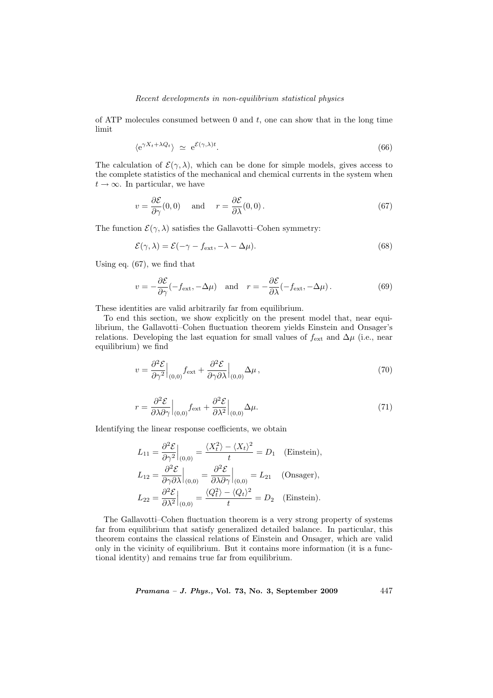of ATP molecules consumed between  $0$  and  $t$ , one can show that in the long time limit

$$
\langle e^{\gamma X_t + \lambda Q_t} \rangle \simeq e^{\mathcal{E}(\gamma, \lambda)t}.\tag{66}
$$

The calculation of  $\mathcal{E}(\gamma,\lambda)$ , which can be done for simple models, gives access to the complete statistics of the mechanical and chemical currents in the system when  $t \to \infty$ . In particular, we have

$$
v = \frac{\partial \mathcal{E}}{\partial \gamma}(0,0) \quad \text{and} \quad r = \frac{\partial \mathcal{E}}{\partial \lambda}(0,0). \tag{67}
$$

The function  $\mathcal{E}(\gamma, \lambda)$  satisfies the Gallavotti–Cohen symmetry:

$$
\mathcal{E}(\gamma,\lambda) = \mathcal{E}(-\gamma - f_{\text{ext}}, -\lambda - \Delta\mu). \tag{68}
$$

Using eq. (67), we find that

$$
v = -\frac{\partial \mathcal{E}}{\partial \gamma}(-f_{\text{ext}}, -\Delta \mu) \quad \text{and} \quad r = -\frac{\partial \mathcal{E}}{\partial \lambda}(-f_{\text{ext}}, -\Delta \mu). \tag{69}
$$

These identities are valid arbitrarily far from equilibrium.

To end this section, we show explicitly on the present model that, near equilibrium, the Gallavotti–Cohen fluctuation theorem yields Einstein and Onsager's relations. Developing the last equation for small values of  $f_{\text{ext}}$  and  $\Delta \mu$  (i.e., near equilibrium) we find

$$
v = \frac{\partial^2 \mathcal{E}}{\partial \gamma^2}\Big|_{(0,0)} f_{\text{ext}} + \frac{\partial^2 \mathcal{E}}{\partial \gamma \partial \lambda}\Big|_{(0,0)} \Delta \mu, \qquad (70)
$$

$$
r = \frac{\partial^2 \mathcal{E}}{\partial \lambda \partial \gamma}\Big|_{(0,0)} f_{\text{ext}} + \frac{\partial^2 \mathcal{E}}{\partial \lambda^2}\Big|_{(0,0)} \Delta \mu. \tag{71}
$$

Identifying the linear response coefficients, we obtain

$$
L_{11} = \frac{\partial^2 \mathcal{E}}{\partial \gamma^2}\Big|_{(0,0)} = \frac{\langle X_t^2 \rangle - \langle X_t \rangle^2}{t} = D_1 \quad \text{(Einstein)},
$$
  
\n
$$
L_{12} = \frac{\partial^2 \mathcal{E}}{\partial \gamma \partial \lambda}\Big|_{(0,0)} = \frac{\partial^2 \mathcal{E}}{\partial \lambda \partial \gamma}\Big|_{(0,0)} = L_{21} \quad \text{(Onsager)},
$$
  
\n
$$
L_{22} = \frac{\partial^2 \mathcal{E}}{\partial \lambda^2}\Big|_{(0,0)} = \frac{\langle Q_t^2 \rangle - \langle Q_t \rangle^2}{t} = D_2 \quad \text{(Einstein)}.
$$

The Gallavotti–Cohen fluctuation theorem is a very strong property of systems far from equilibrium that satisfy generalized detailed balance. In particular, this theorem contains the classical relations of Einstein and Onsager, which are valid only in the vicinity of equilibrium. But it contains more information (it is a functional identity) and remains true far from equilibrium.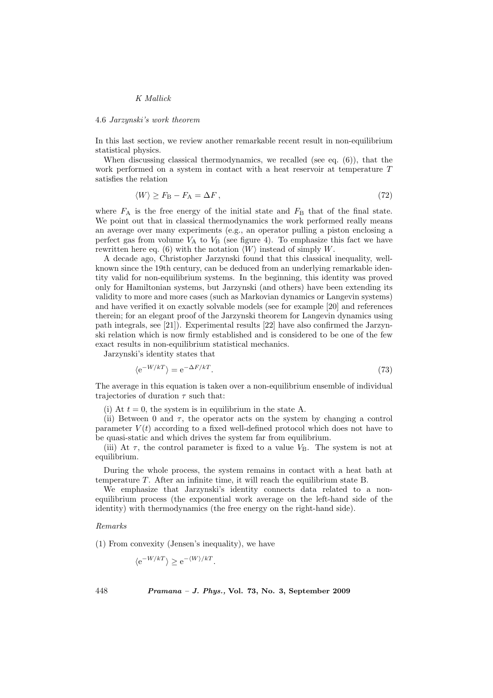#### 4.6 Jarzynski's work theorem

In this last section, we review another remarkable recent result in non-equilibrium statistical physics.

When discussing classical thermodynamics, we recalled (see eq.  $(6)$ ), that the work performed on a system in contact with a heat reservoir at temperature T satisfies the relation

$$
\langle W \rangle \ge F_{\rm B} - F_{\rm A} = \Delta F \,, \tag{72}
$$

where  $F_A$  is the free energy of the initial state and  $F_B$  that of the final state. We point out that in classical thermodynamics the work performed really means an average over many experiments (e.g., an operator pulling a piston enclosing a perfect gas from volume  $V_A$  to  $V_B$  (see figure 4). To emphasize this fact we have rewritten here eq. (6) with the notation  $\langle W \rangle$  instead of simply W.

A decade ago, Christopher Jarzynski found that this classical inequality, wellknown since the 19th century, can be deduced from an underlying remarkable identity valid for non-equilibrium systems. In the beginning, this identity was proved only for Hamiltonian systems, but Jarzynski (and others) have been extending its validity to more and more cases (such as Markovian dynamics or Langevin systems) and have verified it on exactly solvable models (see for example [20] and references therein; for an elegant proof of the Jarzynski theorem for Langevin dynamics using path integrals, see [21]). Experimental results [22] have also confirmed the Jarzynski relation which is now firmly established and is considered to be one of the few exact results in non-equilibrium statistical mechanics.

Jarzynski's identity states that

$$
\langle e^{-W/kT} \rangle = e^{-\Delta F/kT}.\tag{73}
$$

The average in this equation is taken over a non-equilibrium ensemble of individual trajectories of duration  $\tau$  such that:

(i) At  $t = 0$ , the system is in equilibrium in the state A.

(ii) Between 0 and  $\tau$ , the operator acts on the system by changing a control parameter  $V(t)$  according to a fixed well-defined protocol which does not have to be quasi-static and which drives the system far from equilibrium.

(iii) At  $\tau$ , the control parameter is fixed to a value  $V_{\rm B}$ . The system is not at equilibrium.

During the whole process, the system remains in contact with a heat bath at temperature T. After an infinite time, it will reach the equilibrium state B.

We emphasize that Jarzynski's identity connects data related to a nonequilibrium process (the exponential work average on the left-hand side of the identity) with thermodynamics (the free energy on the right-hand side).

## Remarks

(1) From convexity (Jensen's inequality), we have

.

$$
\langle e^{-W/kT} \rangle \ge e^{-\langle W \rangle / kT}
$$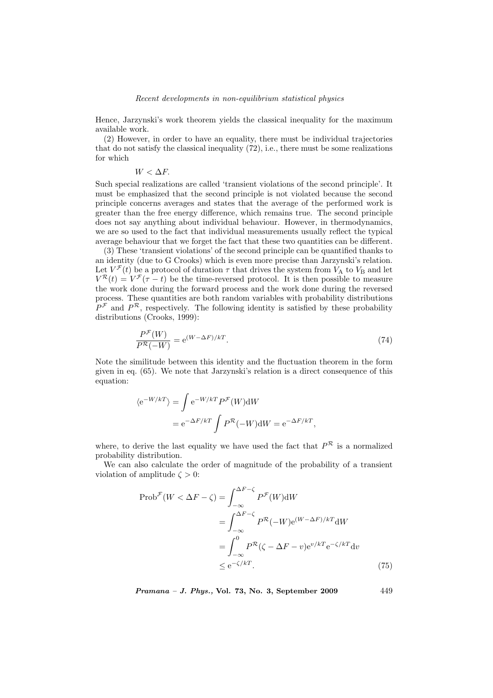Hence, Jarzynski's work theorem yields the classical inequality for the maximum available work.

(2) However, in order to have an equality, there must be individual trajectories that do not satisfy the classical inequality (72), i.e., there must be some realizations for which

 $W < \Delta F$ .

Such special realizations are called 'transient violations of the second principle'. It must be emphasized that the second principle is not violated because the second principle concerns averages and states that the average of the performed work is greater than the free energy difference, which remains true. The second principle does not say anything about individual behaviour. However, in thermodynamics, we are so used to the fact that individual measurements usually reflect the typical average behaviour that we forget the fact that these two quantities can be different.

(3) These 'transient violations' of the second principle can be quantified thanks to an identity (due to G Crooks) which is even more precise than Jarzynski's relation. Let  $V^{\mathcal{F}}(t)$  be a protocol of duration  $\tau$  that drives the system from  $V_A$  to  $V_B$  and let  $V^{\mathcal{R}}(t) = V^{\mathcal{F}}(\tau - t)$  be the time-reversed protocol. It is then possible to measure the work done during the forward process and the work done during the reversed process. These quantities are both random variables with probability distributions  $P^{\mathcal{F}}$  and  $P^{\mathcal{R}}$ , respectively. The following identity is satisfied by these probability distributions (Crooks, 1999):

$$
\frac{P^{\mathcal{F}}(W)}{P^{\mathcal{R}}(-W)} = e^{(W-\Delta F)/kT}.\tag{74}
$$

Note the similitude between this identity and the fluctuation theorem in the form given in eq. (65). We note that Jarzynski's relation is a direct consequence of this equation:

$$
\langle e^{-W/kT} \rangle = \int e^{-W/kT} P^{\mathcal{F}}(W) dW
$$
  
=  $e^{-\Delta F/kT} \int P^{\mathcal{R}}(-W) dW = e^{-\Delta F/kT},$ 

where, to derive the last equality we have used the fact that  $P^R$  is a normalized probability distribution.

We can also calculate the order of magnitude of the probability of a transient violation of amplitude  $\zeta > 0$ :

$$
\text{Prob}^{\mathcal{F}}(W < \Delta F - \zeta) = \int_{-\infty}^{\Delta F - \zeta} P^{\mathcal{F}}(W) \, \mathrm{d}W
$$
\n
$$
= \int_{-\infty}^{\Delta F - \zeta} P^{\mathcal{R}}(-W) \mathrm{e}^{(W - \Delta F)/kT} \, \mathrm{d}W
$$
\n
$$
= \int_{-\infty}^{0} P^{\mathcal{R}}(\zeta - \Delta F - v) \mathrm{e}^{v/kT} \mathrm{e}^{-\zeta/kT} \, \mathrm{d}v
$$
\n
$$
\leq \mathrm{e}^{-\zeta/kT}.
$$
\n(75)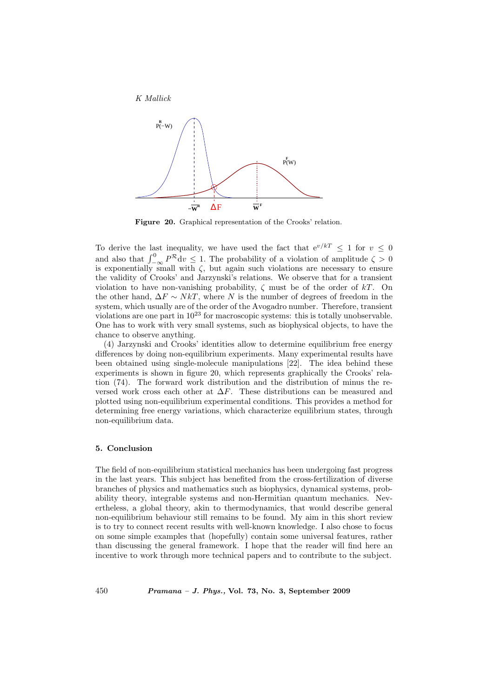



Figure 20. Graphical representation of the Crooks' relation.

To derive the last inequality, we have used the fact that  $e^{v/kT} \leq 1$  for  $v \leq 0$ Fo derive the last inequality, we have used the fact that  $e^{\gamma} \le 1$  for  $v \le 0$ <br>and also that  $\int_{-\infty}^{0} P^{\mathcal{R}} dv \le 1$ . The probability of a violation of amplitude  $\zeta > 0$ is exponentially small with  $\zeta$ , but again such violations are necessary to ensure the validity of Crooks' and Jarzynski's relations. We observe that for a transient violation to have non-vanishing probability,  $\zeta$  must be of the order of kT. On the other hand,  $\Delta F \sim NkT$ , where N is the number of degrees of freedom in the system, which usually are of the order of the Avogadro number. Therefore, transient violations are one part in  $10^{23}$  for macroscopic systems: this is totally unobservable. One has to work with very small systems, such as biophysical objects, to have the chance to observe anything.

(4) Jarzynski and Crooks' identities allow to determine equilibrium free energy differences by doing non-equilibrium experiments. Many experimental results have been obtained using single-molecule manipulations [22]. The idea behind these experiments is shown in figure 20, which represents graphically the Crooks' relation (74). The forward work distribution and the distribution of minus the reversed work cross each other at  $\Delta F$ . These distributions can be measured and plotted using non-equilibrium experimental conditions. This provides a method for determining free energy variations, which characterize equilibrium states, through non-equilibrium data.

## 5. Conclusion

The field of non-equilibrium statistical mechanics has been undergoing fast progress in the last years. This subject has benefited from the cross-fertilization of diverse branches of physics and mathematics such as biophysics, dynamical systems, probability theory, integrable systems and non-Hermitian quantum mechanics. Nevertheless, a global theory, akin to thermodynamics, that would describe general non-equilibrium behaviour still remains to be found. My aim in this short review is to try to connect recent results with well-known knowledge. I also chose to focus on some simple examples that (hopefully) contain some universal features, rather than discussing the general framework. I hope that the reader will find here an incentive to work through more technical papers and to contribute to the subject.